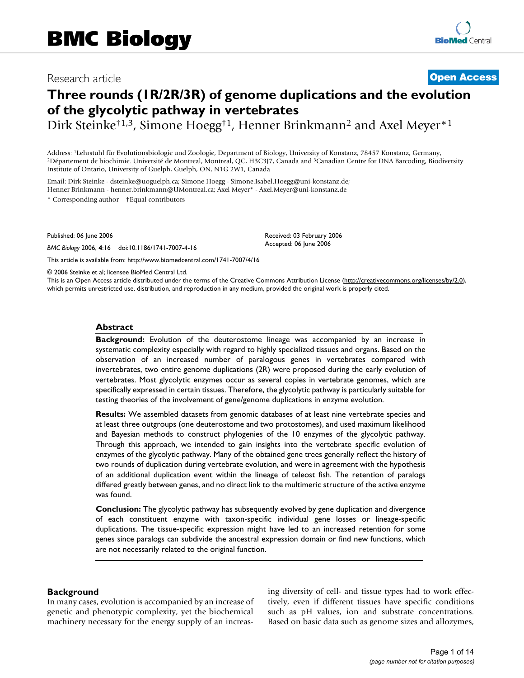## Research article **[Open Access](http://www.biomedcentral.com/info/about/charter/)**

# **Three rounds (1R/2R/3R) of genome duplications and the evolution of the glycolytic pathway in vertebrates**

Dirk Steinke†1,3, Simone Hoegg†1, Henner Brinkmann2 and Axel Meyer\*1

Address: <sup>1</sup>Lehrstuhl für Evolutionsbiologie und Zoologie, Department of Biology, University of Konstanz, 78457 Konstanz, Germany,<br><sup>2</sup>Département de biochimie. Université de Montreal, Montreal, QC, H3C3J7, Canada and <sup>3</sup>Ca Institute of Ontario, University of Guelph, Guelph, ON, N1G 2W1, Canada

Email: Dirk Steinke - dsteinke@uoguelph.ca; Simone Hoegg - Simone.Isabel.Hoegg@uni-konstanz.de; Henner Brinkmann - henner.brinkmann@UMontreal.ca; Axel Meyer\* - Axel.Meyer@uni-konstanz.de

\* Corresponding author †Equal contributors

Published: 06 June 2006

*BMC Biology* 2006, **4**:16 doi:10.1186/1741-7007-4-16

[This article is available from: http://www.biomedcentral.com/1741-7007/4/16](http://www.biomedcentral.com/1741-7007/4/16)

© 2006 Steinke et al; licensee BioMed Central Ltd.

This is an Open Access article distributed under the terms of the Creative Commons Attribution License [\(http://creativecommons.org/licenses/by/2.0\)](http://creativecommons.org/licenses/by/2.0), which permits unrestricted use, distribution, and reproduction in any medium, provided the original work is properly cited.

Received: 03 February 2006 Accepted: 06 June 2006

#### **Abstract**

**Background:** Evolution of the deuterostome lineage was accompanied by an increase in systematic complexity especially with regard to highly specialized tissues and organs. Based on the observation of an increased number of paralogous genes in vertebrates compared with invertebrates, two entire genome duplications (2R) were proposed during the early evolution of vertebrates. Most glycolytic enzymes occur as several copies in vertebrate genomes, which are specifically expressed in certain tissues. Therefore, the glycolytic pathway is particularly suitable for testing theories of the involvement of gene/genome duplications in enzyme evolution.

**Results:** We assembled datasets from genomic databases of at least nine vertebrate species and at least three outgroups (one deuterostome and two protostomes), and used maximum likelihood and Bayesian methods to construct phylogenies of the 10 enzymes of the glycolytic pathway. Through this approach, we intended to gain insights into the vertebrate specific evolution of enzymes of the glycolytic pathway. Many of the obtained gene trees generally reflect the history of two rounds of duplication during vertebrate evolution, and were in agreement with the hypothesis of an additional duplication event within the lineage of teleost fish. The retention of paralogs differed greatly between genes, and no direct link to the multimeric structure of the active enzyme was found.

**Conclusion:** The glycolytic pathway has subsequently evolved by gene duplication and divergence of each constituent enzyme with taxon-specific individual gene losses or lineage-specific duplications. The tissue-specific expression might have led to an increased retention for some genes since paralogs can subdivide the ancestral expression domain or find new functions, which are not necessarily related to the original function.

#### **Background**

In many cases, evolution is accompanied by an increase of genetic and phenotypic complexity, yet the biochemical machinery necessary for the energy supply of an increasing diversity of cell- and tissue types had to work effectively, even if different tissues have specific conditions such as pH values, ion and substrate concentrations. Based on basic data such as genome sizes and allozymes,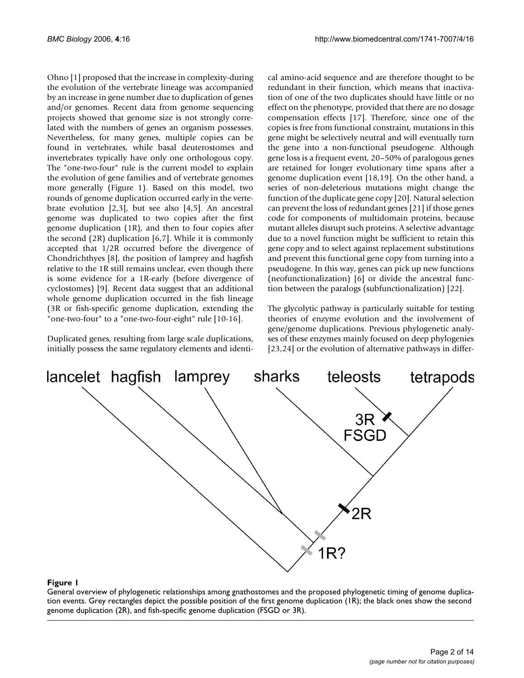Ohno [1] proposed that the increase in complexity-during the evolution of the vertebrate lineage was accompanied by an increase in gene number due to duplication of genes and/or genomes. Recent data from genome sequencing projects showed that genome size is not strongly correlated with the numbers of genes an organism possesses. Nevertheless, for many genes, multiple copies can be found in vertebrates, while basal deuterostomes and invertebrates typically have only one orthologous copy. The "one-two-four" rule is the current model to explain the evolution of gene families and of vertebrate genomes more generally (Figure 1). Based on this model, two rounds of genome duplication occurred early in the vertebrate evolution [2,3], but see also [4,5]. An ancestral genome was duplicated to two copies after the first genome duplication (1R), and then to four copies after the second (2R) duplication [6,7]. While it is commonly accepted that 1/2R occurred before the divergence of Chondrichthyes [8], the position of lamprey and hagfish relative to the 1R still remains unclear, even though there is some evidence for a 1R-early (before divergence of cyclostomes) [9]. Recent data suggest that an additional whole genome duplication occurred in the fish lineage (3R or fish-specific genome duplication, extending the "one-two-four" to a "one-two-four-eight" rule [10-16].

Duplicated genes, resulting from large scale duplications, initially possess the same regulatory elements and identical amino-acid sequence and are therefore thought to be redundant in their function, which means that inactivation of one of the two duplicates should have little or no effect on the phenotype, provided that there are no dosage compensation effects [17]. Therefore, since one of the copies is free from functional constraint, mutations in this gene might be selectively neutral and will eventually turn the gene into a non-functional pseudogene. Although gene loss is a frequent event, 20–50% of paralogous genes are retained for longer evolutionary time spans after a genome duplication event [18,19]. On the other hand, a series of non-deleterious mutations might change the function of the duplicate gene copy [20]. Natural selection can prevent the loss of redundant genes [21] if those genes code for components of multidomain proteins, because mutant alleles disrupt such proteins. A selective advantage due to a novel function might be sufficient to retain this gene copy and to select against replacement substitutions and prevent this functional gene copy from turning into a pseudogene. In this way, genes can pick up new functions (neofunctionalization) [6] or divide the ancestral function between the paralogs (subfunctionalization) [22].

The glycolytic pathway is particularly suitable for testing theories of enzyme evolution and the involvement of gene/genome duplications. Previous phylogenetic analyses of these enzymes mainly focused on deep phylogenies [23,24] or the evolution of alternative pathways in differ-



General overview of phylogenetic relationships among gnathostom tion events **Figure 1** es and the proposed phylogenetic timing of genome duplica-General overview of phylogenetic relationships among gnathostomes and the proposed phylogenetic timing of genome duplication events. Grey rectangles depict the possible position of the first genome duplication (1R); the black ones show the second genome duplication (2R), and fish-specific genome duplication (FSGD or 3R).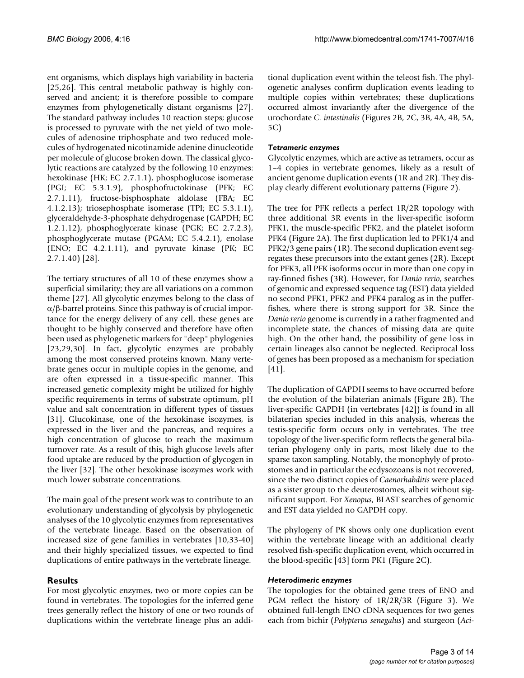ent organisms, which displays high variability in bacteria [25,26]. This central metabolic pathway is highly conserved and ancient; it is therefore possible to compare enzymes from phylogenetically distant organisms [27]. The standard pathway includes 10 reaction steps; glucose is processed to pyruvate with the net yield of two molecules of adenosine triphosphate and two reduced molecules of hydrogenated nicotinamide adenine dinucleotide per molecule of glucose broken down. The classical glycolytic reactions are catalyzed by the following 10 enzymes: hexokinase (HK; EC 2.7.1.1), phosphoglucose isomerase (PGI; EC 5.3.1.9), phosphofructokinase (PFK; EC 2.7.1.11), fructose-bisphosphate aldolase (FBA; EC 4.1.2.13); triosephosphate isomerase (TPI; EC 5.3.1.1), glyceraldehyde-3-phosphate dehydrogenase (GAPDH; EC 1.2.1.12), phosphoglycerate kinase (PGK; EC 2.7.2.3), phosphoglycerate mutase (PGAM; EC 5.4.2.1), enolase (ENO; EC 4.2.1.11), and pyruvate kinase (PK; EC 2.7.1.40) [28].

The tertiary structures of all 10 of these enzymes show a superficial similarity; they are all variations on a common theme [27]. All glycolytic enzymes belong to the class of α/β-barrel proteins. Since this pathway is of crucial importance for the energy delivery of any cell, these genes are thought to be highly conserved and therefore have often been used as phylogenetic markers for "deep" phylogenies [23,29,30]. In fact, glycolytic enzymes are probably among the most conserved proteins known. Many vertebrate genes occur in multiple copies in the genome, and are often expressed in a tissue-specific manner. This increased genetic complexity might be utilized for highly specific requirements in terms of substrate optimum, pH value and salt concentration in different types of tissues [31]. Glucokinase, one of the hexokinase isozymes, is expressed in the liver and the pancreas, and requires a high concentration of glucose to reach the maximum turnover rate. As a result of this, high glucose levels after food uptake are reduced by the production of glycogen in the liver [32]. The other hexokinase isozymes work with much lower substrate concentrations.

The main goal of the present work was to contribute to an evolutionary understanding of glycolysis by phylogenetic analyses of the 10 glycolytic enzymes from representatives of the vertebrate lineage. Based on the observation of increased size of gene families in vertebrates [10,33-40] and their highly specialized tissues, we expected to find duplications of entire pathways in the vertebrate lineage.

### **Results**

For most glycolytic enzymes, two or more copies can be found in vertebrates. The topologies for the inferred gene trees generally reflect the history of one or two rounds of duplications within the vertebrate lineage plus an additional duplication event within the teleost fish. The phylogenetic analyses confirm duplication events leading to multiple copies within vertebrates; these duplications occurred almost invariantly after the divergence of the urochordate *C. intestinalis* (Figures 2B, 2C, 3B, 4A, 4B, 5A, 5C)

#### *Tetrameric enzymes*

Glycolytic enzymes, which are active as tetramers, occur as 1–4 copies in vertebrate genomes, likely as a result of ancient genome duplication events (1R and 2R). They display clearly different evolutionary patterns (Figure 2).

The tree for PFK reflects a perfect 1R/2R topology with three additional 3R events in the liver-specific isoform PFK1, the muscle-specific PFK2, and the platelet isoform PFK4 (Figure 2A). The first duplication led to PFK1/4 and PFK2/3 gene pairs (1R). The second duplication event segregates these precursors into the extant genes (2R). Except for PFK3, all PFK isoforms occur in more than one copy in ray-finned fishes (3R). However, for *Danio rerio*, searches of genomic and expressed sequence tag (EST) data yielded no second PFK1, PFK2 and PFK4 paralog as in the pufferfishes, where there is strong support for 3R. Since the *Danio rerio* genome is currently in a rather fragmented and incomplete state, the chances of missing data are quite high. On the other hand, the possibility of gene loss in certain lineages also cannot be neglected. Reciprocal loss of genes has been proposed as a mechanism for speciation [41].

The duplication of GAPDH seems to have occurred before the evolution of the bilaterian animals (Figure 2B). The liver-specific GAPDH (in vertebrates [42]) is found in all bilaterian species included in this analysis, whereas the testis-specific form occurs only in vertebrates. The tree topology of the liver-specific form reflects the general bilaterian phylogeny only in parts, most likely due to the sparse taxon sampling. Notably, the monophyly of protostomes and in particular the ecdysozoans is not recovered, since the two distinct copies of *Caenorhabditis* were placed as a sister group to the deuterostomes, albeit without significant support. For *Xenopus*, BLAST searches of genomic and EST data yielded no GAPDH copy.

The phylogeny of PK shows only one duplication event within the vertebrate lineage with an additional clearly resolved fish-specific duplication event, which occurred in the blood-specific [43] form PK1 (Figure 2C).

#### *Heterodimeric enzymes*

The topologies for the obtained gene trees of ENO and PGM reflect the history of 1R/2R/3R (Figure 3). We obtained full-length ENO cDNA sequences for two genes each from bichir (*Polypterus senegalus*) and sturgeon (*Aci-*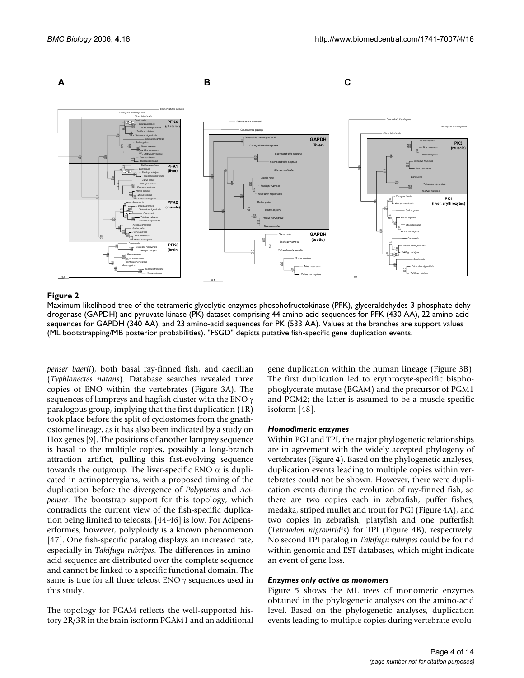

#### Figure 2 and 2008 and 2008 and 2008 and 2008 and 2008 and 2008 and 2008 and 2008 and 2008 and 2008 and 2008 an

Maximum-likelihood tree of the tetrameric glycolytic enzymes phosphofructokinase (PFK), glyceraldehydes-3-phosphate dehydrogenase (GAPDH) and pyruvate kinase (PK) dataset comprising 44 amino-acid sequences for PFK (430 AA), 22 amino-acid sequences for GAPDH (340 AA), and 23 amino-acid sequences for PK (533 AA). Values at the branches are support values (ML bootstrapping/MB posterior probabilities). "FSGD" depicts putative fish-specific gene duplication events.

*penser baerii*), both basal ray-finned fish, and caecilian (*Typhlonectes natans*). Database searches revealed three copies of ENO within the vertebrates (Figure 3A). The sequences of lampreys and hagfish cluster with the ENO γ paralogous group, implying that the first duplication (1R) took place before the split of cyclostomes from the gnathostome lineage, as it has also been indicated by a study on Hox genes [9]. The positions of another lamprey sequence is basal to the multiple copies, possibly a long-branch attraction artifact, pulling this fast-evolving sequence towards the outgroup. The liver-specific ENO α is duplicated in actinopterygians, with a proposed timing of the duplication before the divergence of *Polypterus* and *Acipenser*. The bootstrap support for this topology, which contradicts the current view of the fish-specific duplication being limited to teleosts, [44-46] is low. For Acipenserformes, however, polyploidy is a known phenomenon [[47](#page-11-0)]. One fish-specific paralog displays an increased rate, especially in *Takifugu rubripes*. The differences in aminoacid sequence are distributed over the complete sequence and cannot be linked to a specific functional domain. The same is true for all three teleost ENO γ sequences used in this study.

The topology for PGAM reflects the well-supported history 2R/3R in the brain isoform PGAM1 and an additional

gene duplication within the human lineage (Figure 3B). The first duplication led to erythrocyte-specific bisphophoglycerate mutase (BGAM) and the precursor of PGM1 and PGM2; the latter is assumed to be a muscle-specific isoform [48].

#### *Homodimeric enzymes*

Within PGI and TPI, the major phylogenetic relationships are in agreement with the widely accepted phylogeny of vertebrates (Figure 4). Based on the phylogenetic analyses, duplication events leading to multiple copies within vertebrates could not be shown. However, there were duplication events during the evolution of ray-finned fish, so there are two copies each in zebrafish, puffer fishes, medaka, striped mullet and trout for PGI (Figure 4A), and two copies in zebrafish, platyfish and one pufferfish (*Tetraodon nigroviridis*) for TPI (Figure 4B), respectively. No second TPI paralog in *Takifugu rubripes* could be found within genomic and EST databases, which might indicate an event of gene loss.

#### *Enzymes only active as monomers*

Figure 5 shows the ML trees of monomeric enzymes obtained in the phylogenetic analyses on the amino-acid level. Based on the phylogenetic analyses, duplication events leading to multiple copies during vertebrate evolu-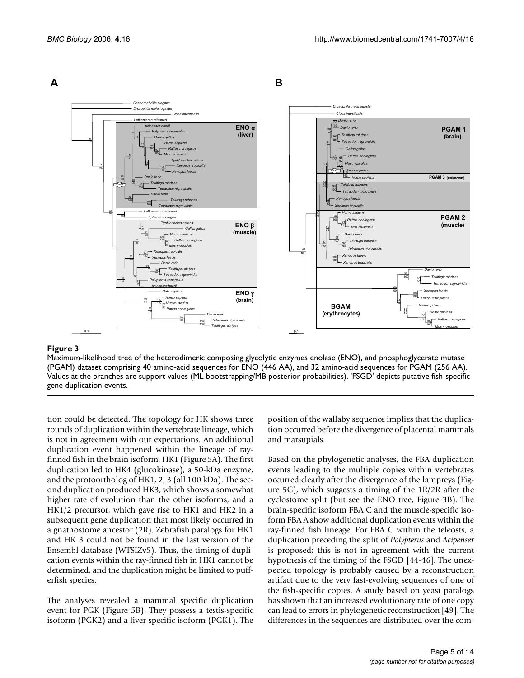

#### **Figure 3** Production of the contract of the contract of the contract of the contract of the contract of the contract of the contract of the contract of the contract of the contract of the contract of the contract of the c

Maximum-likelihood tree of the heterodimeric composing glycolytic enzymes enolase (ENO), and phosphoglycerate mutase (PGAM) dataset comprising 40 amino-acid sequences for ENO (446 AA), and 32 amino-acid sequences for PGAM (256 AA). Values at the branches are support values (ML bootstrapping/MB posterior probabilities). 'FSGD' depicts putative fish-specific gene duplication events.

tion could be detected. The topology for HK shows three rounds of duplication within the vertebrate lineage, which is not in agreement with our expectations. An additional duplication event happened within the lineage of rayfinned fish in the brain isoform, HK1 (Figure 5A). The first duplication led to HK4 (glucokinase), a 50-kDa enzyme, and the protoortholog of HK1, 2, 3 (all 100 kDa). The second duplication produced HK3, which shows a somewhat higher rate of evolution than the other isoforms, and a HK1/2 precursor, which gave rise to HK1 and HK2 in a subsequent gene duplication that most likely occurred in a gnathostome ancestor (2R). Zebrafish paralogs for HK1 and HK 3 could not be found in the last version of the Ensembl database (WTSIZv5). Thus, the timing of duplication events within the ray-finned fish in HK1 cannot be determined, and the duplication might be limited to pufferfish species.

The analyses revealed a mammal specific duplication event for PGK (Figure 5B). They possess a testis-specific isoform (PGK2) and a liver-specific isoform (PGK1). The position of the wallaby sequence implies that the duplication occurred before the divergence of placental mammals and marsupials.

Based on the phylogenetic analyses, the FBA duplication events leading to the multiple copies within vertebrates occurred clearly after the divergence of the lampreys (Figure 5C), which suggests a timing of the 1R/2R after the cyclostome split (but see the ENO tree, Figure 3B). The brain-specific isoform FBA C and the muscle-specific isoform FBA A show additional duplication events within the ray-finned fish lineage. For FBA C within the teleosts, a duplication preceding the split of *Polypterus* and *Acipenser* is proposed; this is not in agreement with the current hypothesis of the timing of the FSGD [44-46]. The unexpected topology is probably caused by a reconstruction artifact due to the very fast-evolving sequences of one of the fish-specific copies. A study based on yeast paralogs has shown that an increased evolutionary rate of one copy can lead to errors in phylogenetic reconstruction [49]. The differences in the sequences are distributed over the com-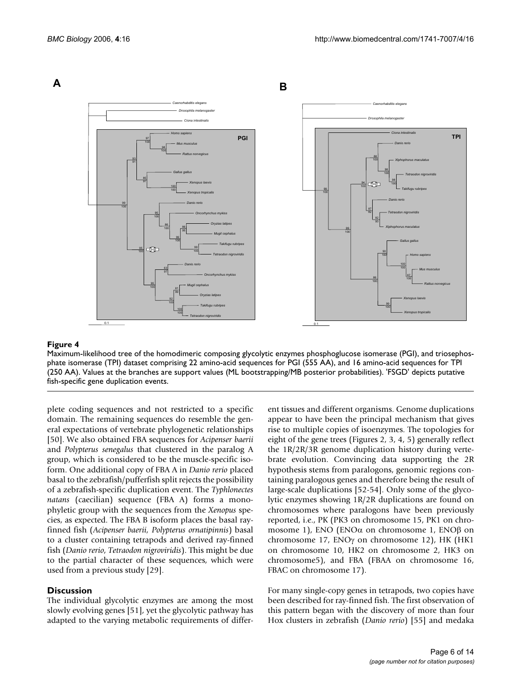

#### **Figure 4** Production of the contract of the contract of the contract of the contract of the contract of the contract of the contract of the contract of the contract of the contract of the contract of the contract of the c

Maximum-likelihood tree of the homodimeric composing glycolytic enzymes phosphoglucose isomerase (PGI), and triosephosphate isomerase (TPI) dataset comprising 22 amino-acid sequences for PGI (555 AA), and 16 amino-acid sequences for TPI (250 AA). Values at the branches are support values (ML bootstrapping/MB posterior probabilities). 'FSGD' depicts putative fish-specific gene duplication events.

plete coding sequences and not restricted to a specific domain. The remaining sequences do resemble the general expectations of vertebrate phylogenetic relationships [50]. We also obtained FBA sequences for *Acipenser baerii* and *Polypterus senegalus* that clustered in the paralog A group, which is considered to be the muscle-specific isoform. One additional copy of FBA A in *Danio rerio* placed basal to the zebrafish/pufferfish split rejects the possibility of a zebrafish-specific duplication event. The *Typhlonectes natans* (caecilian) sequence (FBA A) forms a monophyletic group with the sequences from the *Xenopus* species, as expected. The FBA B isoform places the basal rayfinned fish (*Acipenser baerii, Polypterus ornatipinnis*) basal to a cluster containing tetrapods and derived ray-finned fish (*Danio rerio*, *Tetraodon nigroviridis*). This might be due to the partial character of these sequences, which were used from a previous study [29].

#### **Discussion**

The individual glycolytic enzymes are among the most slowly evolving genes [51], yet the glycolytic pathway has adapted to the varying metabolic requirements of different tissues and different organisms. Genome duplications appear to have been the principal mechanism that gives rise to multiple copies of isoenzymes. The topologies for eight of the gene trees (Figures 2, 3, 4, 5) generally reflect the 1R/2R/3R genome duplication history during vertebrate evolution. Convincing data supporting the 2R hypothesis stems from paralogons, genomic regions containing paralogous genes and therefore being the result of large-scale duplications [52-54]. Only some of the glycolytic enzymes showing 1R/2R duplications are found on chromosomes where paralogons have been previously reported, i.e., PK (PK3 on chromosome 15, PK1 on chromosome 1), ENO (ENOα on chromosome 1, ENOβ on chromosome 17, ENOγ on chromosome 12), HK (HK1 on chromosome 10, HK2 on chromosome 2, HK3 on chromosome5), and FBA (FBAA on chromosome 16, FBAC on chromosome 17).

For many single-copy genes in tetrapods, two copies have been described for ray-finned fish. The first observation of this pattern began with the discovery of more than four Hox clusters in zebrafish (*Danio rerio*) [55] and medaka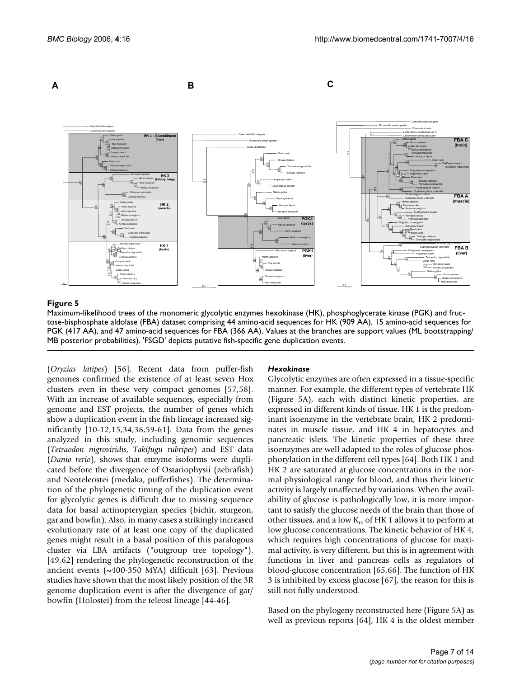

#### PGK (417 AA), and 47 amino-acid sequences for FBA (366 AA) **Figure 5** Maximum-likelihood trees of the monome tose-bisphosphate aldolase (FBA) dataset comprising 44 amino-acid se ric glycolytic enzymes hexokiquences for HK (909 AA), 15 nase (HK), phosphoglycerateamino-acid sequences for kinase (PGK) and fruc-

Maximum-likelihood trees of the monomeric glycolytic enzymes hexokinase (HK), phosphoglycerate kinase (PGK) and fructose-bisphosphate aldolase (FBA) dataset comprising 44 amino-acid sequences for HK (909 AA), 15 amino-acid sequences for PGK (417 AA), and 47 amino-acid sequences for FBA (366 AA). Values at the branches are support values (ML bootstrapping/ MB posterior probabilities). 'FSGD' depicts putative fish-specific gene duplication events.

(*Oryzias latipes*) [56]. Recent data from puffer-fish genomes confirmed the existence of at least seven Hox clusters even in these very compact genomes [57,58]. With an increase of available sequences, especially from genome and EST projects, the number of genes which show a duplication event in the fish lineage increased significantly [10-12,15,34,38,59-61]. Data from the genes analyzed in this study, including genomic sequences (*Tetraodon nigroviridis*, *Takifugu rubripes*) and EST data (*Danio rerio*), shows that enzyme isoforms were duplicated before the divergence of Ostariophysii (zebrafish) and Neoteleostei (medaka, pufferfishes). The determination of the phylogenetic timing of the duplication event for glycolytic genes is difficult due to missing sequence data for basal actinopterygian species (bichir, sturgeon, gar and bowfin). Also, in many cases a strikingly increased evolutionary rate of at least one copy of the duplicated genes might result in a basal position of this paralogous cluster via LBA artifacts ("outgroup tree topology"). [49,62] rendering the phylogenetic reconstruction of the ancient events (~400-350 MYA) difficult [63]. Previous studies have shown that the most likely position of the 3R genome duplication event is after the divergence of gar/ bowfin (Holostei) from the teleost lineage [44-46].

#### *Hexokinase*

Glycolytic enzymes are often expressed in a tissue-specific manner. For example, the different types of vertebrate HK (Figure 5A), each with distinct kinetic properties, are expressed in different kinds of tissue. HK 1 is the predominant isoenzyme in the vertebrate brain, HK 2 predominates in muscle tissue, and HK 4 in hepatocytes and pancreatic islets. The kinetic properties of these three isoenzymes are well adapted to the roles of glucose phosphorylation in the different cell types [64]. Both HK 1 and HK 2 are saturated at glucose concentrations in the normal physiological range for blood, and thus their kinetic activity is largely unaffected by variations. When the availability of glucose is pathologically low, it is more important to satisfy the glucose needs of the brain than those of other tissues, and a low  $K<sub>m</sub>$  of HK 1 allows it to perform at low glucose concentrations. The kinetic behavior of HK 4, which requires high concentrations of glucose for maximal activity, is very different, but this is in agreement with functions in liver and pancreas cells as regulators of blood-glucose concentration [65,66]. The function of HK 3 is inhibited by excess glucose [67], the reason for this is still not fully understood.

Based on the phylogeny reconstructed here (Figure 5A) as well as previous reports [64], HK 4 is the oldest member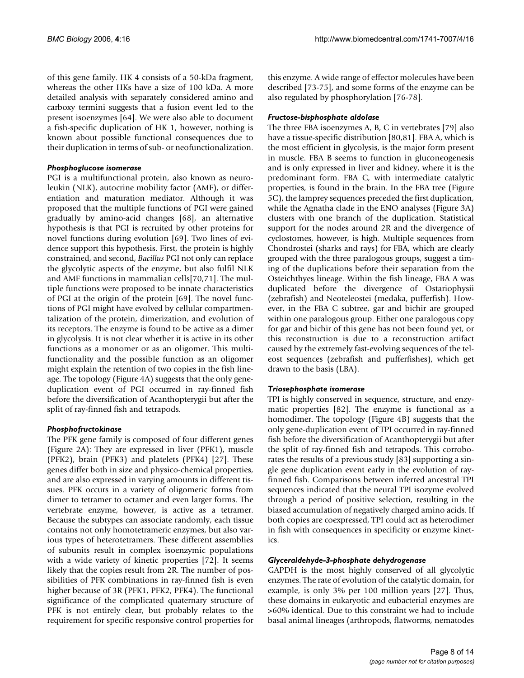of this gene family. HK 4 consists of a 50-kDa fragment, whereas the other HKs have a size of 100 kDa. A more detailed analysis with separately considered amino and carboxy termini suggests that a fusion event led to the present isoenzymes [64]. We were also able to document a fish-specific duplication of HK 1, however, nothing is known about possible functional consequences due to their duplication in terms of sub- or neofunctionalization.

#### *Phosphoglucose isomerase*

PGI is a multifunctional protein, also known as neuroleukin (NLK), autocrine mobility factor (AMF), or differentiation and maturation mediator. Although it was proposed that the multiple functions of PGI were gained gradually by amino-acid changes [68], an alternative hypothesis is that PGI is recruited by other proteins for novel functions during evolution [69]. Two lines of evidence support this hypothesis. First, the protein is highly constrained, and second, *Bacillus* PGI not only can replace the glycolytic aspects of the enzyme, but also fulfil NLK and AMF functions in mammalian cells[70,71]. The multiple functions were proposed to be innate characteristics of PGI at the origin of the protein [69]. The novel functions of PGI might have evolved by cellular compartmentalization of the protein, dimerization, and evolution of its receptors. The enzyme is found to be active as a dimer in glycolysis. It is not clear whether it is active in its other functions as a monomer or as an oligomer. This multifunctionality and the possible function as an oligomer might explain the retention of two copies in the fish lineage. The topology (Figure 4A) suggests that the only geneduplication event of PGI occurred in ray-finned fish before the diversification of Acanthopterygii but after the split of ray-finned fish and tetrapods.

#### *Phosphofructokinase*

The PFK gene family is composed of four different genes (Figure 2A): They are expressed in liver (PFK1), muscle (PFK2), brain (PFK3) and platelets (PFK4) [27]. These genes differ both in size and physico-chemical properties, and are also expressed in varying amounts in different tissues. PFK occurs in a variety of oligomeric forms from dimer to tetramer to octamer and even larger forms. The vertebrate enzyme, however, is active as a tetramer. Because the subtypes can associate randomly, each tissue contains not only homotetrameric enzymes, but also various types of heterotetramers. These different assemblies of subunits result in complex isoenzymic populations with a wide variety of kinetic properties [72]. It seems likely that the copies result from 2R. The number of possibilities of PFK combinations in ray-finned fish is even higher because of 3R (PFK1, PFK2, PFK4). The functional significance of the complicated quaternary structure of PFK is not entirely clear, but probably relates to the requirement for specific responsive control properties for this enzyme. A wide range of effector molecules have been described [73-75], and some forms of the enzyme can be also regulated by phosphorylation [76-78].

#### *Fructose-bisphosphate aldolase*

The three FBA isoenzymes A, B, C in vertebrates [79] also have a tissue-specific distribution [80,81]. FBA A, which is the most efficient in glycolysis, is the major form present in muscle. FBA B seems to function in gluconeogenesis and is only expressed in liver and kidney, where it is the predominant form. FBA C, with intermediate catalytic properties, is found in the brain. In the FBA tree (Figure 5C), the lamprey sequences preceded the first duplication, while the Agnatha clade in the ENO analyses (Figure 3A) clusters with one branch of the duplication. Statistical support for the nodes around 2R and the divergence of cyclostomes, however, is high. Multiple sequences from Chondrostei (sharks and rays) for FBA, which are clearly grouped with the three paralogous groups, suggest a timing of the duplications before their separation from the Osteichthyes lineage. Within the fish lineage, FBA A was duplicated before the divergence of Ostariophysii (zebrafish) and Neoteleostei (medaka, pufferfish). However, in the FBA C subtree, gar and bichir are grouped within one paralogous group. Either one paralogous copy for gar and bichir of this gene has not been found yet, or this reconstruction is due to a reconstruction artifact caused by the extremely fast-evolving sequences of the teleost sequences (zebrafish and pufferfishes), which get drawn to the basis (LBA).

#### *Triosephosphate isomerase*

TPI is highly conserved in sequence, structure, and enzymatic properties [82]. The enzyme is functional as a homodimer. The topology (Figure 4B) suggests that the only gene-duplication event of TPI occurred in ray-finned fish before the diversification of Acanthopterygii but after the split of ray-finned fish and tetrapods. This corroborates the results of a previous study [83] supporting a single gene duplication event early in the evolution of rayfinned fish. Comparisons between inferred ancestral TPI sequences indicated that the neural TPI isozyme evolved through a period of positive selection, resulting in the biased accumulation of negatively charged amino acids. If both copies are coexpressed, TPI could act as heterodimer in fish with consequences in specificity or enzyme kinetics.

#### *Glyceraldehyde-3-phosphate dehydrogenase*

GAPDH is the most highly conserved of all glycolytic enzymes. The rate of evolution of the catalytic domain, for example, is only 3% per 100 million years [27]. Thus, these domains in eukaryotic and eubacterial enzymes are >60% identical. Due to this constraint we had to include basal animal lineages (arthropods, flatworms, nematodes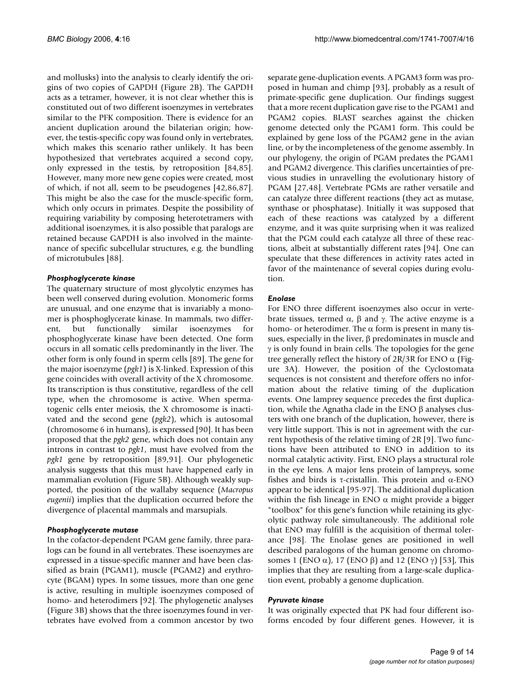and mollusks) into the analysis to clearly identify the origins of two copies of GAPDH (Figure 2B). The GAPDH acts as a tetramer, however, it is not clear whether this is constituted out of two different isoenzymes in vertebrates similar to the PFK composition. There is evidence for an ancient duplication around the bilaterian origin; however, the testis-specific copy was found only in vertebrates, which makes this scenario rather unlikely. It has been hypothesized that vertebrates acquired a second copy, only expressed in the testis, by retroposition [84,85]. However, many more new gene copies were created, most of which, if not all, seem to be pseudogenes [42,86,87]. This might be also the case for the muscle-specific form, which only occurs in primates. Despite the possibility of requiring variability by composing heterotetramers with additional isoenzymes, it is also possible that paralogs are retained because GAPDH is also involved in the maintenance of specific subcellular structures, e.g. the bundling of microtubules [88].

#### *Phosphoglycerate kinase*

The quaternary structure of most glycolytic enzymes has been well conserved during evolution. Monomeric forms are unusual, and one enzyme that is invariably a monomer is phosphoglycerate kinase. In mammals, two different, but functionally similar isoenzymes for phosphoglycerate kinase have been detected. One form occurs in all somatic cells predominantly in the liver. The other form is only found in sperm cells [89]. The gene for the major isoenzyme (*pgk1*) is X-linked. Expression of this gene coincides with overall activity of the X chromosome. Its transcription is thus constitutive, regardless of the cell type, when the chromosome is active. When spermatogenic cells enter meiosis, the X chromosome is inactivated and the second gene (*pgk2*), which is autosomal (chromosome 6 in humans), is expressed [90]. It has been proposed that the *pgk2* gene, which does not contain any introns in contrast to *pgk1*, must have evolved from the *pgk1* gene by retroposition [89,91]. Our phylogenetic analysis suggests that this must have happened early in mammalian evolution (Figure 5B). Although weakly supported, the position of the wallaby sequence (*Macropus eugenii*) implies that the duplication occurred before the divergence of placental mammals and marsupials.

#### *Phosphoglycerate mutase*

In the cofactor-dependent PGAM gene family, three paralogs can be found in all vertebrates. These isoenzymes are expressed in a tissue-specific manner and have been classified as brain (PGAM1), muscle (PGAM2) and erythrocyte (BGAM) types. In some tissues, more than one gene is active, resulting in multiple isoenzymes composed of homo- and heterodimers [92]. The phylogenetic analyses (Figure 3B) shows that the three isoenzymes found in vertebrates have evolved from a common ancestor by two

separate gene-duplication events. A PGAM3 form was proposed in human and chimp [93], probably as a result of primate-specific gene duplication. Our findings suggest that a more recent duplication gave rise to the PGAM1 and PGAM2 copies. BLAST searches against the chicken genome detected only the PGAM1 form. This could be explained by gene loss of the PGAM2 gene in the avian line, or by the incompleteness of the genome assembly. In our phylogeny, the origin of PGAM predates the PGAM1 and PGAM2 divergence. This clarifies uncertainties of previous studies in unravelling the evolutionary history of PGAM [27,48]. Vertebrate PGMs are rather versatile and can catalyze three different reactions (they act as mutase, synthase or phosphatase). Initially it was supposed that each of these reactions was catalyzed by a different enzyme, and it was quite surprising when it was realized that the PGM could each catalyze all three of these reactions, albeit at substantially different rates [94]. One can speculate that these differences in activity rates acted in favor of the maintenance of several copies during evolution.

#### *Enolase*

For ENO three different isoenzymes also occur in vertebrate tissues, termed  $\alpha$ ,  $\beta$  and  $\gamma$ . The active enzyme is a homo- or heterodimer. The  $\alpha$  form is present in many tissues, especially in the liver, β predominates in muscle and  $\gamma$  is only found in brain cells. The topologies for the gene tree generally reflect the history of  $2R/3R$  for ENO  $\alpha$  (Figure 3A). However, the position of the Cyclostomata sequences is not consistent and therefore offers no information about the relative timing of the duplication events. One lamprey sequence precedes the first duplication, while the Agnatha clade in the ENO  $β$  analyses clusters with one branch of the duplication, however, there is very little support. This is not in agreement with the current hypothesis of the relative timing of 2R [9]. Two functions have been attributed to ENO in addition to its normal catalytic activity. First, ENO plays a structural role in the eye lens. A major lens protein of lampreys, some fishes and birds is τ-cristallin. This protein and α-ENO appear to be identical [95-97]. The additional duplication within the fish lineage in ENO  $\alpha$  might provide a bigger "toolbox" for this gene's function while retaining its glycolytic pathway role simultaneously. The additional role that ENO may fulfill is the acquisition of thermal tolerance [98]. The Enolase genes are positioned in well described paralogons of the human genome on chromosomes 1 (ENO  $\alpha$ ), 17 (ENO  $\beta$ ) and 12 (ENO  $\gamma$ ) [53], This implies that they are resulting from a large-scale duplication event, probably a genome duplication.

#### *Pyruvate kinase*

It was originally expected that PK had four different isoforms encoded by four different genes. However, it is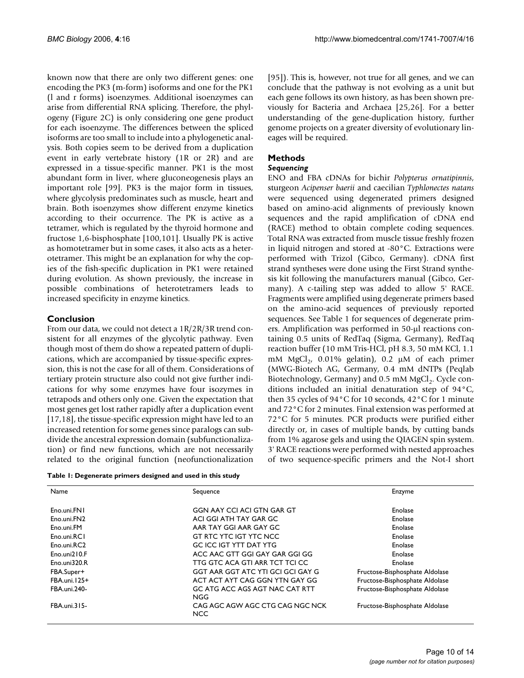known now that there are only two different genes: one encoding the PK3 (m-form) isoforms and one for the PK1 (l and r forms) isoenzymes. Additional isoenzymes can arise from differential RNA splicing. Therefore, the phylogeny (Figure 2C) is only considering one gene product for each isoenzyme. The differences between the spliced isoforms are too small to include into a phylogenetic analysis. Both copies seem to be derived from a duplication event in early vertebrate history (1R or 2R) and are expressed in a tissue-specific manner. PK1 is the most abundant form in liver, where gluconeogenesis plays an important role [99]. PK3 is the major form in tissues, where glycolysis predominates such as muscle, heart and brain. Both isoenzymes show different enzyme kinetics according to their occurrence. The PK is active as a tetramer, which is regulated by the thyroid hormone and fructose 1,6-bisphosphate [100,101]. Usually PK is active as homotetramer but in some cases, it also acts as a heterotetramer. This might be an explanation for why the copies of the fish-specific duplication in PK1 were retained during evolution. As shown previously, the increase in possible combinations of heterotetramers leads to increased specificity in enzyme kinetics.

### **Conclusion**

From our data, we could not detect a 1R/2R/3R trend consistent for all enzymes of the glycolytic pathway. Even though most of them do show a repeated pattern of duplications, which are accompanied by tissue-specific expression, this is not the case for all of them. Considerations of tertiary protein structure also could not give further indications for why some enzymes have four isozymes in tetrapods and others only one. Given the expectation that most genes get lost rather rapidly after a duplication event [17,18], the tissue-specific expression might have led to an increased retention for some genes since paralogs can subdivide the ancestral expression domain (subfunctionalization) or find new functions, which are not necessarily related to the original function (neofunctionalization [95]). This is, however, not true for all genes, and we can conclude that the pathway is not evolving as a unit but each gene follows its own history, as has been shown previously for Bacteria and Archaea [25,26]. For a better understanding of the gene-duplication history, further genome projects on a greater diversity of evolutionary lineages will be required.

# **Methods**

#### *Sequencing*

ENO and FBA cDNAs for bichir *Polypterus ornatipinnis*, sturgeon *Acipenser baerii* and caecilian *Typhlonectes natans* were sequenced using degenerated primers designed based on amino-acid alignments of previously known sequences and the rapid amplification of cDNA end (RACE) method to obtain complete coding sequences. Total RNA was extracted from muscle tissue freshly frozen in liquid nitrogen and stored at -80°C. Extractions were performed with Trizol (Gibco, Germany). cDNA first strand syntheses were done using the First Strand synthesis kit following the manufacturers manual (Gibco, Germany). A c-tailing step was added to allow 5' RACE. Fragments were amplified using degenerate primers based on the amino-acid sequences of previously reported sequences. See Table 1 for sequences of degenerate primers. Amplification was performed in 50-µl reactions containing 0.5 units of RedTaq (Sigma, Germany), RedTaq reaction buffer (10 mM Tris-HCl, pH 8.3, 50 mM KCl, 1.1 mM MgCl<sub>2</sub>, 0.01% gelatin), 0.2  $\mu$ M of each primer (MWG-Biotech AG, Germany, 0.4 mM dNTPs (Peqlab Biotechnology, Germany) and  $0.5$  mM MgCl<sub>2</sub>. Cycle conditions included an initial denaturation step of 94°C, then 35 cycles of 94°C for 10 seconds, 42°C for 1 minute and 72°C for 2 minutes. Final extension was performed at 72°C for 5 minutes. PCR products were purified either directly or, in cases of multiple bands, by cutting bands from 1% agarose gels and using the QIAGEN spin system. 3' RACE reactions were performed with nested approaches of two sequence-specific primers and the Not-I short

|  | Table 1: Degenerate primers designed and used in this study |  |  |  |  |  |  |  |
|--|-------------------------------------------------------------|--|--|--|--|--|--|--|
|--|-------------------------------------------------------------|--|--|--|--|--|--|--|

| Name         | Sequence                                      | Enzyme                         |
|--------------|-----------------------------------------------|--------------------------------|
| Eno.uni.FN1  | GGN AAY CCLACLGTN GAR GT                      | Enolase                        |
| Eno.uni.FN2  | ACI GGI ATH TAY GAR GC                        | Enolase                        |
| Eno.uni.FM   | AAR TAY GGI AAR GAY GC                        | Enolase                        |
| Eno.uni.RCI  | GT RTC YTC IGT YTC NCC                        | Enolase                        |
| Eno.uni.RC2  | GC ICC IGT YTT DAT YTG                        | Enolase                        |
| Eno.uni210.F | ACC AAC GTT GGI GAY GAR GGI GG                | Enolase                        |
| Eno.uni320.R | TTG GTC ACA GTI ARR TCT TCI CC                | Enolase                        |
| FBA.Super+   | GGT AAR GGT ATC YTI GCI GCI GAY G             | Fructose-Bisphosphate Aldolase |
| FBA.uni.125+ | ACT ACT AYT CAG GGN YTN GAY GG                | Fructose-Bisphosphate Aldolase |
| FBA.uni.240- | GC ATG ACC AGS AGT NAC CAT RTT<br><b>NGG</b>  | Fructose-Bisphosphate Aldolase |
| FBA.uni.315- | CAG AGC AGW AGC CTG CAG NGC NCK<br><b>NCC</b> | Fructose-Bisphosphate Aldolase |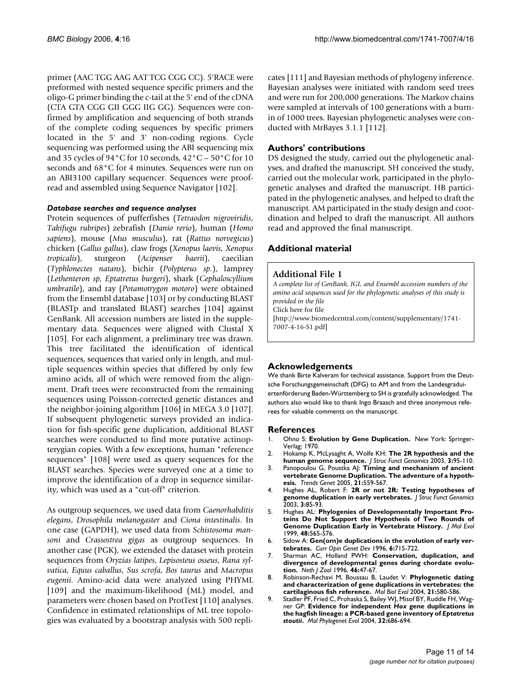primer (AAC TGG AAG AAT TCG CGG CC). 5'RACE were preformed with nested sequence specific primers and the oligo-G primer binding the c-tail at the 5' end of the cDNA (CTA GTA CGG GII GGG IIG GG). Sequences were confirmed by amplification and sequencing of both strands of the complete coding sequences by specific primers located in the 5' and 3' non-coding regions. Cycle sequencing was performed using the ABI sequencing mix and 35 cycles of 94 $\degree$ C for 10 seconds, 42 $\degree$ C – 50 $\degree$ C for 10 seconds and 68°C for 4 minutes. Sequences were run on an ABI3100 capillary sequencer. Sequences were proofread and assembled using Sequence Navigator [102].

#### *Database searches and sequence analyses*

Protein sequences of pufferfishes (*Tetraodon nigroviridis*, *Takifugu rubripes*) zebrafish (*Danio rerio*), human (*Homo sapiens*), mouse (*Mus musculus*), rat (*Rattus norvegicus*) chicken (*Gallus gallus*), claw frogs (*Xenopus laevis, Xenopus tropicalis*), sturgeon (*Acipenser baerii*), caecilian (*Typhlonectes natans*), bichir (*Polypterus sp*.), lamprey (*Lethenteron sp, Eptatretus burgeri*), shark (*Cephaloscyllium umbratile*), and ray (*Potamotrygon motoro*) were obtained from the Ensembl database [103] or by conducting BLAST (BLASTp and translated BLAST) searches [104] against GenBank. All accession numbers are listed in the supplementary data. Sequences were aligned with Clustal X [105]. For each alignment, a preliminary tree was drawn. This tree facilitated the identification of identical sequences, sequences that varied only in length, and multiple sequences within species that differed by only few amino acids, all of which were removed from the alignment. Draft trees were reconstructed from the remaining sequences using Poisson-corrected genetic distances and the neighbor-joining algorithm [106] in MEGA 3.0 [107]. If subsequent phylogenetic surveys provided an indication for fish-specific gene duplication, additional BLAST searches were conducted to find more putative actinopterygian copies. With a few exceptions, human "reference sequences" [108] were used as query sequences for the BLAST searches. Species were surveyed one at a time to improve the identification of a drop in sequence similarity, which was used as a "cut-off" criterion.

As outgroup sequences, we used data from *Caenorhabditis elegans*, *Drosophila melanogaster* and *Ciona intestinalis*. In one case (GAPDH), we used data from *Schistosoma mansoni* and *Crassostrea gigas* as outgroup sequences. In another case (PGK), we extended the dataset with protein sequences from *Oryzias latipes*, *Lepisosteus osseus*, *Rana sylvatica*, *Equus caballus*, *Sus scrofa*, *Bos taurus* and *Macropus eugenii*. Amino-acid data were analyzed using PHYML [109] and the maximum-likelihood (ML) model, and parameters were chosen based on ProtTest [110] analyses. Confidence in estimated relationships of ML tree topologies was evaluated by a bootstrap analysis with 500 replicates [111] and Bayesian methods of phylogeny inference. Bayesian analyses were initiated with random seed trees and were run for 200,000 generations. The Markov chains were sampled at intervals of 100 generations with a burnin of 1000 trees. Bayesian phylogenetic analyses were conducted with MrBayes 3.1.1 [112].

#### **Authors' contributions**

DS designed the study, carried out the phylogenetic analyses, and drafted the manuscript. SH conceived the study, carried out the molecular work, participated in the phylogenetic analyses and drafted the manuscript. HB participated in the phylogenetic analyses, and helped to draft the manuscript. AM participated in the study design and coordination and helped to draft the manuscript. All authors read and approved the final manuscript.

#### **Additional material**

#### **Additional File 1**

*A complete list of GenBank, JGI, and Ensembl accession numbers of the amino acid sequences used for the phylogenetic analyses of this study is provided in the file* Click here for file [\[http://www.biomedcentral.com/content/supplementary/1741-](http://www.biomedcentral.com/content/supplementary/1741-7007-4-16-S1.pdf) 7007-4-16-S1.pdf]

### **Acknowledgements**

We thank Birte Kalveram for technical assistance. Support from the Deutsche Forschungsgemeinschaft (DFG) to AM and from the Landesgraduiertenförderung Baden-Württemberg to SH is gratefully acknowledged. The authors also would like to thank Ingo Braasch and three anonymous referees for valuable comments on the manuscript.

#### **References**

- 1. Ohno S: **Evolution by Gene Duplication.** New York: Springer-Verlag; 1970.
- 2. Hokamp K, McLysaght A, Wolfe KH: **The 2R hypothesis and the human genome sequence.** *J Struc Funct Genomics* 2003, **3:**95-110.
- 3. Panopoulou G, Poustka AJ: **[Timing and mechanism of ancient](http://www.ncbi.nlm.nih.gov/entrez/query.fcgi?cmd=Retrieve&db=PubMed&dopt=Abstract&list_uids=16099069) [vertebrate Genome Duplication. The adventure of a hypoth](http://www.ncbi.nlm.nih.gov/entrez/query.fcgi?cmd=Retrieve&db=PubMed&dopt=Abstract&list_uids=16099069)[esis.](http://www.ncbi.nlm.nih.gov/entrez/query.fcgi?cmd=Retrieve&db=PubMed&dopt=Abstract&list_uids=16099069)** *Trends Genet* 2005, **21:**559-567.
- 4. Hughes AL, Robert F: **2R or not 2R: Testing hypotheses of genome duplication in early vertebrates.** *J Struc Funct Genomics* 2003, **3:**85-93.
- 5. Hughes AL: **[Phylogenies of Developmentally Important Pro](http://www.ncbi.nlm.nih.gov/entrez/query.fcgi?cmd=Retrieve&db=PubMed&dopt=Abstract&list_uids=10198122)[teins Do Not Support the Hypothesis of Two Rounds of](http://www.ncbi.nlm.nih.gov/entrez/query.fcgi?cmd=Retrieve&db=PubMed&dopt=Abstract&list_uids=10198122) [Genome Duplication Early in Vertebrate History.](http://www.ncbi.nlm.nih.gov/entrez/query.fcgi?cmd=Retrieve&db=PubMed&dopt=Abstract&list_uids=10198122)** *J Mol Evol* 1999, **48:**565-576.
- 6. Sidow A: **[Gen\(om\)e duplications in the evolution of early ver](http://www.ncbi.nlm.nih.gov/entrez/query.fcgi?cmd=Retrieve&db=PubMed&dopt=Abstract&list_uids=8994842)[tebrates.](http://www.ncbi.nlm.nih.gov/entrez/query.fcgi?cmd=Retrieve&db=PubMed&dopt=Abstract&list_uids=8994842)** *Curr Opin Genet Dev* 1996, **6:**715-722.
- 7. Sharman AC, Holland PWH: **Conservation, duplication, and divergence of developmental genes during chordate evolution.** *Neth J Zool* 1996, **46:**47-67.
- 8. Robinson-Rechavi M, Boussau B, Laudet V: **[Phylogenetic dating](http://www.ncbi.nlm.nih.gov/entrez/query.fcgi?cmd=Retrieve&db=PubMed&dopt=Abstract&list_uids=14694077) [and characterization of gene duplications in vertebrates: the](http://www.ncbi.nlm.nih.gov/entrez/query.fcgi?cmd=Retrieve&db=PubMed&dopt=Abstract&list_uids=14694077) [cartilaginous fish reference.](http://www.ncbi.nlm.nih.gov/entrez/query.fcgi?cmd=Retrieve&db=PubMed&dopt=Abstract&list_uids=14694077)** *Mol Biol Evol* 2004, **21:**580-586.
- 9. Stadler PF, Fried C, Prohaska S, Bailey WJ, Misof BY, Ruddle FH, Wagner GP: **Evidence for independent** *Hox* **gene duplications in the hagfish lineage: a PCR-based gene inventory of** *Eptatretus stoutii***[.](http://www.ncbi.nlm.nih.gov/entrez/query.fcgi?cmd=Retrieve&db=PubMed&dopt=Abstract&list_uids=15288047)** *Mol Phylogenet Evol* 2004, **32:**686-694.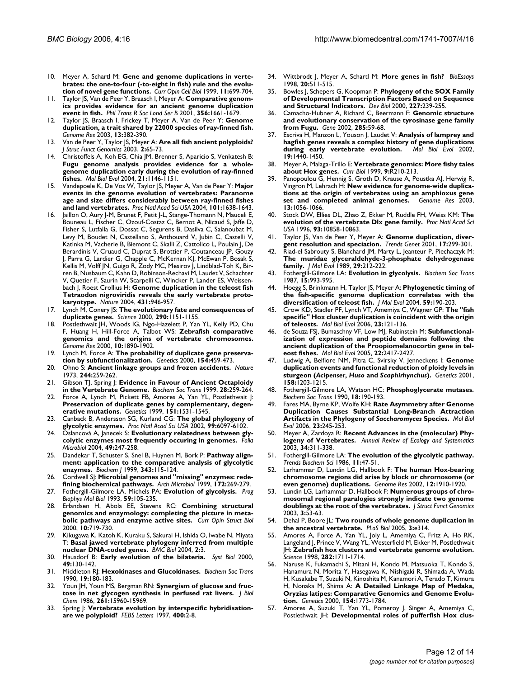- 10. Meyer A, Schartl M: **[Gene and genome duplications in verte](http://www.ncbi.nlm.nih.gov/entrez/query.fcgi?cmd=Retrieve&db=PubMed&dopt=Abstract&list_uids=10600714)[brates: the one-to-four \(-to-eight in fish\) rule and the evolu](http://www.ncbi.nlm.nih.gov/entrez/query.fcgi?cmd=Retrieve&db=PubMed&dopt=Abstract&list_uids=10600714)[tion of novel gene functions.](http://www.ncbi.nlm.nih.gov/entrez/query.fcgi?cmd=Retrieve&db=PubMed&dopt=Abstract&list_uids=10600714)** *Curr Opin Cell Biol* 1999, **11:**699-704.
- Taylor JS, Van de Peer Y, Braasch I, Meyer A: **Comparative genomics provides evidence for an ancient genome duplication event in fish.** *Phil Trans R Soc Lond Ser B* 2001, **356:**1661-1679.
- 12. Taylor JS, Braasch I, Frickey T, Meyer A, Van de Peer Y: **[Genome](http://www.ncbi.nlm.nih.gov/entrez/query.fcgi?cmd=Retrieve&db=PubMed&dopt=Abstract&list_uids=12618368) [duplication, a trait shared by 22000 species of ray-finned fish.](http://www.ncbi.nlm.nih.gov/entrez/query.fcgi?cmd=Retrieve&db=PubMed&dopt=Abstract&list_uids=12618368)** *Genome Res* 2003, **13:**382-390.
- 13. Van de Peer Y, Taylor JS, Meyer A: **Are all fish ancient polyploids?** *J Struc Funct Genomics* 2003, **2:**65-73.
- 14. Christoffels A, Koh EG, Chia JM, Brenner S, Aparicio S, Venkatesh B: **Fugu genome analysis provides evidence for a whole[genome duplication early during the evolution of ray-finned](http://www.ncbi.nlm.nih.gov/entrez/query.fcgi?cmd=Retrieve&db=PubMed&dopt=Abstract&list_uids=15014147) [fishes.](http://www.ncbi.nlm.nih.gov/entrez/query.fcgi?cmd=Retrieve&db=PubMed&dopt=Abstract&list_uids=15014147)** *Mol Biol Evol* 2004, **21:**1146-1151.
- 15. Vandepoele K, De Vos W, Taylor JS, Meyer A, Van de Peer Y: **[Major](http://www.ncbi.nlm.nih.gov/entrez/query.fcgi?cmd=Retrieve&db=PubMed&dopt=Abstract&list_uids=14757817) events in the genome evolution of vertebrates: Paranome [age and size differs considerably between ray-finned fishes](http://www.ncbi.nlm.nih.gov/entrez/query.fcgi?cmd=Retrieve&db=PubMed&dopt=Abstract&list_uids=14757817) [and land vertebrates.](http://www.ncbi.nlm.nih.gov/entrez/query.fcgi?cmd=Retrieve&db=PubMed&dopt=Abstract&list_uids=14757817)** *Proc Natl Acad Sci USA* 2004, **101:**1638-1643.
- 16. Jaillon O, Aury J-M, Brunet F, Petit J-L, Stange-Thomann N, Mauceli E, Bouneau L, Fischer C, Ozouf-Costaz C, Bernot A, Nicaud S, Jaffe D, Fisher S, Lutfalla G, Dossat C, Segurens B, Dasilva C, Salanoubat M, Levy M, Boudet N, Castellano S, Anthouard V, Jubin C, Castelli V, Katinka M, Vacherie B, Biemont C, Skalli Z, Cattolico L, Poulain J, De Berardinis V, Cruaud C, Duprat S, Brottier P, Coutanceau JP, Gouzy J, Parra G, Lardier G, Chapple C, McKernan KJ, McEwan P, Bosak S, Kellis M, Volff JN, Guigo R, Zody MC, Mesirov J, Lindblad-Toh K, Birren B, Nusbaum C, Kahn D, Robinson-Rechavi M, Laudet V, Schachter V, Quetier F, Saurin W, Scarpelli C, Wincker P, Lander ES, Weissenbach J, Roest Crollius H: **[Genome duplication in the teleost fish](http://www.ncbi.nlm.nih.gov/entrez/query.fcgi?cmd=Retrieve&db=PubMed&dopt=Abstract&list_uids=15496914) [Tetraodon nigroviridis reveals the early vertebrate proto](http://www.ncbi.nlm.nih.gov/entrez/query.fcgi?cmd=Retrieve&db=PubMed&dopt=Abstract&list_uids=15496914)[karyotype.](http://www.ncbi.nlm.nih.gov/entrez/query.fcgi?cmd=Retrieve&db=PubMed&dopt=Abstract&list_uids=15496914)** *Nature* 2004, **431:**946-957.
- 17. Lynch M, Conery JS: **[The evolutionary fate and consequences of](http://www.ncbi.nlm.nih.gov/entrez/query.fcgi?cmd=Retrieve&db=PubMed&dopt=Abstract&list_uids=11073452) [duplicate genes.](http://www.ncbi.nlm.nih.gov/entrez/query.fcgi?cmd=Retrieve&db=PubMed&dopt=Abstract&list_uids=11073452)** *Science* 2000, **290:**1151-1155.
- 18. Postlethwait JH, Woods IG, Ngo-Hazelett P, Yan YL, Kelly PD, Chu F, Huang H, Hill-Force A, Talbot WS: **[Zebrafish comparative](http://www.ncbi.nlm.nih.gov/entrez/query.fcgi?cmd=Retrieve&db=PubMed&dopt=Abstract&list_uids=11116085) [genomics and the origins of vertebrate chromosomes.](http://www.ncbi.nlm.nih.gov/entrez/query.fcgi?cmd=Retrieve&db=PubMed&dopt=Abstract&list_uids=11116085)** *Genome Res* 2000, **10:**1890-1902.
- 19. Lynch M, Force A: **[The probability of duplicate gene preserva](http://www.ncbi.nlm.nih.gov/entrez/query.fcgi?cmd=Retrieve&db=PubMed&dopt=Abstract&list_uids=10629003)[tion by subfunctionalization.](http://www.ncbi.nlm.nih.gov/entrez/query.fcgi?cmd=Retrieve&db=PubMed&dopt=Abstract&list_uids=10629003)** *Genetics* 2000, **154:**459-473.
- 20. Ohno S: **[Ancient linkage groups and frozen accidents.](http://www.ncbi.nlm.nih.gov/entrez/query.fcgi?cmd=Retrieve&db=PubMed&dopt=Abstract&list_uids=4200792)** *Nature* 1973, **244:**259-262.
- 21. Gibson TJ, Spring J: **Evidence in Favour of Ancient Octaploidy in the Vertebrate Genome.** *Biochem Soc Trans* 1999, **28:**259-264.
- 22. Force A, Lynch M, Pickett FB, Amores A, Yan YL, Postlethwait J: **[Preservation of duplicate genes by complementary, degen](http://www.ncbi.nlm.nih.gov/entrez/query.fcgi?cmd=Retrieve&db=PubMed&dopt=Abstract&list_uids=10101175)[erative mutations.](http://www.ncbi.nlm.nih.gov/entrez/query.fcgi?cmd=Retrieve&db=PubMed&dopt=Abstract&list_uids=10101175)** *Genetics* 1999, **151:**1531-1545.
- 23. Canback B, Andersson SG, Kurland CG: **[The global phylogeny of](http://www.ncbi.nlm.nih.gov/entrez/query.fcgi?cmd=Retrieve&db=PubMed&dopt=Abstract&list_uids=11983902) [glycolytic enzymes.](http://www.ncbi.nlm.nih.gov/entrez/query.fcgi?cmd=Retrieve&db=PubMed&dopt=Abstract&list_uids=11983902)** *Proc Natl Acad Sci USA* 2002, **99:**6097-6102.
- 24. Oslancová A, Janecek S: **Evolutionary relatedness between glycolytic enzymes most frequently occuring in genomes.** *Folia Microbiol* 2004, **49:**247-258.
- 25. Dandekar T, Schuster S, Snel B, Huynen M, Bork P: **[Pathway align](http://www.ncbi.nlm.nih.gov/entrez/query.fcgi?cmd=Retrieve&db=PubMed&dopt=Abstract&list_uids=10493919)[ment: application to the comparative analysis of glycolytic](http://www.ncbi.nlm.nih.gov/entrez/query.fcgi?cmd=Retrieve&db=PubMed&dopt=Abstract&list_uids=10493919) [enzymes.](http://www.ncbi.nlm.nih.gov/entrez/query.fcgi?cmd=Retrieve&db=PubMed&dopt=Abstract&list_uids=10493919)** *Biochem J* 1999, **343:**115-124.
- 26. Cordwell SJ: **[Microbial genomes and "missing" enzymes: rede](http://www.ncbi.nlm.nih.gov/entrez/query.fcgi?cmd=Retrieve&db=PubMed&dopt=Abstract&list_uids=10550468)[fining biochemical pathways.](http://www.ncbi.nlm.nih.gov/entrez/query.fcgi?cmd=Retrieve&db=PubMed&dopt=Abstract&list_uids=10550468)** *Arch Microbiol* 1999, **172:**269-279.
- 27. Fothergill-Gilmore LA, Michels PA: **[Evolution of glycolysis.](http://www.ncbi.nlm.nih.gov/entrez/query.fcgi?cmd=Retrieve&db=PubMed&dopt=Abstract&list_uids=8426905)** *Prog Biophys Mol Biol* 1993, **59:**105-235.
- 28. Erlandsen H, Abola EE, Stevens RC: **[Combining structural](http://www.ncbi.nlm.nih.gov/entrez/query.fcgi?cmd=Retrieve&db=PubMed&dopt=Abstract&list_uids=11114510) [genomics and enzymology: completing the picture in meta](http://www.ncbi.nlm.nih.gov/entrez/query.fcgi?cmd=Retrieve&db=PubMed&dopt=Abstract&list_uids=11114510)[bolic pathways and enzyme active sites.](http://www.ncbi.nlm.nih.gov/entrez/query.fcgi?cmd=Retrieve&db=PubMed&dopt=Abstract&list_uids=11114510)** *Curr Opin Struct Biol* 2000, **10:**719-730.
- 29. Kikugawa K, Katoh K, Kuraku S, Sakurai H, Ishida O, Iwabe N, Miyata T: **[Basal jawed vertebrate phylogeny inferred from multiple](http://www.ncbi.nlm.nih.gov/entrez/query.fcgi?cmd=Retrieve&db=PubMed&dopt=Abstract&list_uids=15070407) [nuclear DNA-coded genes.](http://www.ncbi.nlm.nih.gov/entrez/query.fcgi?cmd=Retrieve&db=PubMed&dopt=Abstract&list_uids=15070407)** *BMC Biol* 2004, **2:**3.
- 30. Hausdorf B: **[Early evolution of the bilateria.](http://www.ncbi.nlm.nih.gov/entrez/query.fcgi?cmd=Retrieve&db=PubMed&dopt=Abstract&list_uids=12116476)** *Syst Biol* 2000, **49:**130-142.
- 31. Middleton RJ: **Hexokinases and Glucokinases.** *Biochem Soc Trans* 1990, **19:**180-183.
- 32. Youn JH, Youn MS, Bergman RN: **[Synergism of glucose and fruc](http://www.ncbi.nlm.nih.gov/entrez/query.fcgi?cmd=Retrieve&db=PubMed&dopt=Abstract&list_uids=3023336)[tose in net glycogen synthesis in perfused rat livers.](http://www.ncbi.nlm.nih.gov/entrez/query.fcgi?cmd=Retrieve&db=PubMed&dopt=Abstract&list_uids=3023336)** *J Biol Chem* 1986, **261:**15960-15969.
- 33. Spring J: **[Vertebrate evolution by interspecific hybridisation](http://www.ncbi.nlm.nih.gov/entrez/query.fcgi?cmd=Retrieve&db=PubMed&dopt=Abstract&list_uids=9000502)[are we polyploid?](http://www.ncbi.nlm.nih.gov/entrez/query.fcgi?cmd=Retrieve&db=PubMed&dopt=Abstract&list_uids=9000502)** *FEBS Letters* 1997, **400:**2-8.
- 34. Wittbrodt J, Meyer A, Schartl M: **More genes in fish?** *BioEssays* 1998, **20:**511-515.
- 35. Bowles J, Schepers G, Koopman P: **[Phylogeny of the SOX Family](http://www.ncbi.nlm.nih.gov/entrez/query.fcgi?cmd=Retrieve&db=PubMed&dopt=Abstract&list_uids=11071752) [of Developmental Transcription Factors Based on Sequence](http://www.ncbi.nlm.nih.gov/entrez/query.fcgi?cmd=Retrieve&db=PubMed&dopt=Abstract&list_uids=11071752) [and Structural Indicators.](http://www.ncbi.nlm.nih.gov/entrez/query.fcgi?cmd=Retrieve&db=PubMed&dopt=Abstract&list_uids=11071752)** *Dev Biol* 2000, **227:**239-255.
- 36. Camacho-Hubner A, Richard C, Beermann F: **[Genomic structure](http://www.ncbi.nlm.nih.gov/entrez/query.fcgi?cmd=Retrieve&db=PubMed&dopt=Abstract&list_uids=12039032) [and evolutionary conservation of the tyrosinase gene family](http://www.ncbi.nlm.nih.gov/entrez/query.fcgi?cmd=Retrieve&db=PubMed&dopt=Abstract&list_uids=12039032) [from Fugu.](http://www.ncbi.nlm.nih.gov/entrez/query.fcgi?cmd=Retrieve&db=PubMed&dopt=Abstract&list_uids=12039032)** *Gene* 2002, **285:**59-68.
- 37. Escriva H, Manzon L, Youson J, Laudet V: **[Analysis of lamprey and](http://www.ncbi.nlm.nih.gov/entrez/query.fcgi?cmd=Retrieve&db=PubMed&dopt=Abstract&list_uids=12200472) [hagfish genes reveals a complex history of gene duplications](http://www.ncbi.nlm.nih.gov/entrez/query.fcgi?cmd=Retrieve&db=PubMed&dopt=Abstract&list_uids=12200472) [during early vertebrate evolution.](http://www.ncbi.nlm.nih.gov/entrez/query.fcgi?cmd=Retrieve&db=PubMed&dopt=Abstract&list_uids=12200472)** *Mol Biol Evol* 2002, **19:**1440-1450.
- 38. Meyer A, Malaga-Trillo E: **[Vertebrate genomics: More fishy tales](http://www.ncbi.nlm.nih.gov/entrez/query.fcgi?cmd=Retrieve&db=PubMed&dopt=Abstract&list_uids=10209088) [about Hox genes.](http://www.ncbi.nlm.nih.gov/entrez/query.fcgi?cmd=Retrieve&db=PubMed&dopt=Abstract&list_uids=10209088)** *Curr Biol* 1999, **9:**R210-213.
- Panopoulou G, Hennig S, Groth D, Krause A, Poustka AJ, Herwig R, Vingron M, Lehrach H: **[New evidence for genome-wide duplica](http://www.ncbi.nlm.nih.gov/entrez/query.fcgi?cmd=Retrieve&db=PubMed&dopt=Abstract&list_uids=12799346)[tions at the origin of vertebrates using an amphioxus gene](http://www.ncbi.nlm.nih.gov/entrez/query.fcgi?cmd=Retrieve&db=PubMed&dopt=Abstract&list_uids=12799346) [set and completed animal genomes.](http://www.ncbi.nlm.nih.gov/entrez/query.fcgi?cmd=Retrieve&db=PubMed&dopt=Abstract&list_uids=12799346)** *Genome Res* 2003, **13:**1056-1066.
- 40. Stock DW, Ellies DL, Zhao Z, Ekker M, Ruddle FH, Weiss KM: **[The](http://www.ncbi.nlm.nih.gov/entrez/query.fcgi?cmd=Retrieve&db=PubMed&dopt=Abstract&list_uids=8855272) [evolution of the vertebrate Dlx gene family.](http://www.ncbi.nlm.nih.gov/entrez/query.fcgi?cmd=Retrieve&db=PubMed&dopt=Abstract&list_uids=8855272)** *Proc Natl Acad Sci USA* 1996, **93:**10858-10863.
- 41. Taylor JS, Van de Peer Y, Meyer A: **[Genome duplication, diver](http://www.ncbi.nlm.nih.gov/entrez/query.fcgi?cmd=Retrieve&db=PubMed&dopt=Abstract&list_uids=11377777)[gent resolution and speciation.](http://www.ncbi.nlm.nih.gov/entrez/query.fcgi?cmd=Retrieve&db=PubMed&dopt=Abstract&list_uids=11377777)** *Trends Genet* 2001, **17:**299-301.
- 42. Riad-el Sabrouty S, Blanchard JM, Marty L, Jeanteur P, Piechaczyk M: **[The muridae glyceraldehyde-3-phosphate dehydrogenase](http://www.ncbi.nlm.nih.gov/entrez/query.fcgi?cmd=Retrieve&db=PubMed&dopt=Abstract&list_uids=2550656) [family.](http://www.ncbi.nlm.nih.gov/entrez/query.fcgi?cmd=Retrieve&db=PubMed&dopt=Abstract&list_uids=2550656)** *J Mol Evol* 1989, **29:**212-222.
- 43. Fothergill-Gilmore LA: **[Evolution in glycolysis.](http://www.ncbi.nlm.nih.gov/entrez/query.fcgi?cmd=Retrieve&db=PubMed&dopt=Abstract&list_uids=2961639)** *Biochem Soc Trans* 1987, **15:**993-995.
- 44. Hoegg S, Brinkmann H, Taylor JS, Meyer A: **[Phylogenetic timing of](http://www.ncbi.nlm.nih.gov/entrez/query.fcgi?cmd=Retrieve&db=PubMed&dopt=Abstract&list_uids=15486693) [the fish-specific genome duplication correlates with the](http://www.ncbi.nlm.nih.gov/entrez/query.fcgi?cmd=Retrieve&db=PubMed&dopt=Abstract&list_uids=15486693) [diversification of teleost fish.](http://www.ncbi.nlm.nih.gov/entrez/query.fcgi?cmd=Retrieve&db=PubMed&dopt=Abstract&list_uids=15486693)** *J Mol Evol* 2004, **59:**190-203.
- 45. Crow KD, Stadler PF, Lynch VT, Amemiya C, Wagner GP: **[The "fish](http://www.ncbi.nlm.nih.gov/entrez/query.fcgi?cmd=Retrieve&db=PubMed&dopt=Abstract&list_uids=16162861) [specific" Hox cluster duplication is coincident with the origin](http://www.ncbi.nlm.nih.gov/entrez/query.fcgi?cmd=Retrieve&db=PubMed&dopt=Abstract&list_uids=16162861) [of teleosts.](http://www.ncbi.nlm.nih.gov/entrez/query.fcgi?cmd=Retrieve&db=PubMed&dopt=Abstract&list_uids=16162861)** *Mol Biol Evol* 2006, **23:**121-136.
- 46. de Souza FSJ, Bumaschny VF, Low MJ, Rubinstein M: **[Subfunctional](http://www.ncbi.nlm.nih.gov/entrez/query.fcgi?cmd=Retrieve&db=PubMed&dopt=Abstract&list_uids=16093565)ization of expression and peptide domains following the [ancient duplication of the Proopiomelanocortin gene in tel](http://www.ncbi.nlm.nih.gov/entrez/query.fcgi?cmd=Retrieve&db=PubMed&dopt=Abstract&list_uids=16093565)[eost fishes.](http://www.ncbi.nlm.nih.gov/entrez/query.fcgi?cmd=Retrieve&db=PubMed&dopt=Abstract&list_uids=16093565)** *Mol Biol Evol* 2005, **22:**2417-2427.
- <span id="page-11-0"></span>47. Ludwig A, Belfiore NM, Pitra C, Svirsky V, Jenneckens I: **Genome duplication events and functional reduction of ploidy levels in sturgeon (***Acipenser***,** *Huso* **and** *Scaphirhynchus***[\).](http://www.ncbi.nlm.nih.gov/entrez/query.fcgi?cmd=Retrieve&db=PubMed&dopt=Abstract&list_uids=11454768)** *Genetics* 2001, **158:**1203-1215.
- 48. Fothergill-Gilmore LA, Watson HC: **[Phosphoglycerate mutases.](http://www.ncbi.nlm.nih.gov/entrez/query.fcgi?cmd=Retrieve&db=PubMed&dopt=Abstract&list_uids=2165930)** *Biochem Soc Trans* 1990, **18:**190-193.
- 49. Fares MA, Byrne KP, Wolfe KH: **Rate Asymmetry after Genome Duplication Causes Substantial Long-Branch Attraction Artifacts in the Phylogeny of** *Saccharomyces* **[Species.](http://www.ncbi.nlm.nih.gov/entrez/query.fcgi?cmd=Retrieve&db=PubMed&dopt=Abstract&list_uids=16207937)** *Mol Biol Evol* 2006, **23:**245-253.
- 50. Meyer A, Zardoya R: **Recent Advances in the (molecular) Phylogeny of Vertebrates.** *Annual Review of Ecology and Systematics* 2003, **34:**311-338.
- 51. Fothergill-Gilmore LA: **The evolution of the glycolytic pathway.** *Trends Biochem Sci* 1986, **11:**47-51.
- Larhammar D, Lundin LG, Hallbook F: [The human Hox-bearing](http://www.ncbi.nlm.nih.gov/entrez/query.fcgi?cmd=Retrieve&db=PubMed&dopt=Abstract&list_uids=12466295) **[chromosome regions did arise by block or chromosome \(or](http://www.ncbi.nlm.nih.gov/entrez/query.fcgi?cmd=Retrieve&db=PubMed&dopt=Abstract&list_uids=12466295) [even genome\) duplications.](http://www.ncbi.nlm.nih.gov/entrez/query.fcgi?cmd=Retrieve&db=PubMed&dopt=Abstract&list_uids=12466295)** *Genome Res* 2002, **12:**1910-1920.
- 53. Lundin LG, Larhammar D, Hallbook F: **[Numerous groups of chro](http://www.ncbi.nlm.nih.gov/entrez/query.fcgi?cmd=Retrieve&db=PubMed&dopt=Abstract&list_uids=12836685)[mosomal regional paralogies strongly indicate two genome](http://www.ncbi.nlm.nih.gov/entrez/query.fcgi?cmd=Retrieve&db=PubMed&dopt=Abstract&list_uids=12836685) [doublings at the root of the vertebrates.](http://www.ncbi.nlm.nih.gov/entrez/query.fcgi?cmd=Retrieve&db=PubMed&dopt=Abstract&list_uids=12836685)** *J Struct Funct Genomics* 2003, **3:**53-63.
- 54. Dehal P, Boore JL: **[Two rounds of whole genome duplication in](http://www.ncbi.nlm.nih.gov/entrez/query.fcgi?cmd=Retrieve&db=PubMed&dopt=Abstract&list_uids=16128622) [the ancestral vertebrate.](http://www.ncbi.nlm.nih.gov/entrez/query.fcgi?cmd=Retrieve&db=PubMed&dopt=Abstract&list_uids=16128622)** *PLoS Biol* 2005, **3:**e314.
- Amores A, Force A, Yan YL, Joly L, Amemiya C, Fritz A, Ho RK, Langeland J, Prince V, Wang YL, Westerfield M, Ekker M, Postlethwait JH: **[Zebrafish hox clusters and vertebrate genome evolution.](http://www.ncbi.nlm.nih.gov/entrez/query.fcgi?cmd=Retrieve&db=PubMed&dopt=Abstract&list_uids=9831563)** *Science* 1998, **282:**1711-1714.
- 56. Naruse K, Fukamachi S, Mitani H, Kondo M, Matsuoka T, Kondo S, Hanamura N, Morita Y, Hasegawa K, Nishigaki R, Shimada A, Wada H, Kusakabe T, Suzuki N, Kinoshita M, Kanamori A, Terado T, Kimura H, Nonaka M, Shima A: **[A Detailed Linkage Map of Medaka,](http://www.ncbi.nlm.nih.gov/entrez/query.fcgi?cmd=Retrieve&db=PubMed&dopt=Abstract&list_uids=10747068) [Oryzias latipes: Comparative Genomics and Genome Evolu](http://www.ncbi.nlm.nih.gov/entrez/query.fcgi?cmd=Retrieve&db=PubMed&dopt=Abstract&list_uids=10747068)[tion.](http://www.ncbi.nlm.nih.gov/entrez/query.fcgi?cmd=Retrieve&db=PubMed&dopt=Abstract&list_uids=10747068)** *Genetics* 2000, **154:**1773-1784.
- 57. Amores A, Suzuki T, Yan YL, Pomeroy J, Singer A, Amemiya C, Postlethwait JH: **[Developmental roles of pufferfish Hox clus](http://www.ncbi.nlm.nih.gov/entrez/query.fcgi?cmd=Retrieve&db=PubMed&dopt=Abstract&list_uids=14707165)-**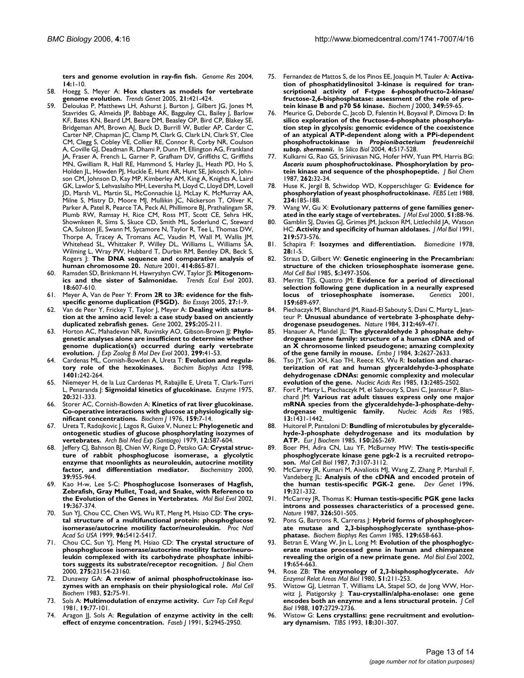**[ters and genome evolution in ray-fin fish.](http://www.ncbi.nlm.nih.gov/entrez/query.fcgi?cmd=Retrieve&db=PubMed&dopt=Abstract&list_uids=14707165)** *Genome Res* 2004, **14:**1-10.

- 58. Hoegg S, Meyer A: **[Hox clusters as models for vertebrate](http://www.ncbi.nlm.nih.gov/entrez/query.fcgi?cmd=Retrieve&db=PubMed&dopt=Abstract&list_uids=15967537) [genome evolution.](http://www.ncbi.nlm.nih.gov/entrez/query.fcgi?cmd=Retrieve&db=PubMed&dopt=Abstract&list_uids=15967537)** *Trends Genet* 2005, **21:**421-424.
- 59. Deloukas P, Matthews LH, Ashurst J, Burton J, Gilbert JG, Jones M, Stavrides G, Almeida JP, Babbage AK, Bagguley CL, Bailey J, Barlow KF, Bates KN, Beard LM, Beare DM, Beasley OP, Bird CP, Blakey SE, Bridgeman AM, Brown AJ, Buck D, Burrill W, Butler AP, Carder C, Carter NP, Chapman JC, Clamp M, Clark G, Clark LN, Clark SY, Clee CM, Clegg S, Cobley VE, Collier RE, Connor R, Corby NR, Coulson A, Coville GJ, Deadman R, Dhami P, Dunn M, Ellington AG, Frankland JA, Fraser A, French L, Garner P, Grafham DV, Griffiths C, Griffiths MN, Gwilliam R, Hall RE, Hammond S, Harley JL, Heath PD, Ho S, Holden JL, Howden PJ, Huckle E, Hunt AR, Hunt SE, Jekosch K, Johnson CM, Johnson D, Kay MP, Kimberley AM, King A, Knights A, Laird GK, Lawlor S, Lehvaslaiho MH, Leversha M, Lloyd C, Lloyd DM, Lovell JD, Marsh VL, Martin SL, McConnachie LJ, McLay K, McMurray AA, Milne S, Mistry D, Moore MJ, Mullikin JC, Nickerson T, Oliver K, Parker A, Patel R, Pearce TA, Peck AI, Phillimore BJ, Prathalingam SR, Plumb RW, Ramsay H, Rice CM, Ross MT, Scott CE, Sehra HK, Shownkeen R, Sims S, Skuce CD, Smith ML, Soderlund C, Steward CA, Sulston JE, Swann M, Sycamore N, Taylor R, Tee L, Thomas DW, Thorpe A, Tracey A, Tromans AC, Vaudin M, Wall M, Wallis JM, Whitehead SL, Whittaker P, Willey DL, Williams L, Williams SA, Wilming L, Wray PW, Hubbard T, Durbin RM, Bentley DR, Beck S, Rogers J: **[The DNA sequence and comparative analysis of](http://www.ncbi.nlm.nih.gov/entrez/query.fcgi?cmd=Retrieve&db=PubMed&dopt=Abstract&list_uids=11780052) [human chromosome 20.](http://www.ncbi.nlm.nih.gov/entrez/query.fcgi?cmd=Retrieve&db=PubMed&dopt=Abstract&list_uids=11780052)** *Nature* 2001, **414:**865-871.
- Ramsden SD, Brinkmann H, Hawryshyn CW, Taylor JS: Mitogenom**ics and the sister of Salmonidae.** *Trends Ecol Evol* 2003, **18:**607-610.
- 61. Meyer A, Van de Peer Y: **From 2R to 3R: evidence for the fishspecific genome duplication (FSGD).** *Bio Essays* 2005, **27:**1-9.
- 62. Van de Peer Y, Frickey T, Taylor J, Meyer A: **[Dealing with satura](http://www.ncbi.nlm.nih.gov/entrez/query.fcgi?cmd=Retrieve&db=PubMed&dopt=Abstract&list_uids=12354655)[tion at the amino acid level: a case study based on anciently](http://www.ncbi.nlm.nih.gov/entrez/query.fcgi?cmd=Retrieve&db=PubMed&dopt=Abstract&list_uids=12354655) [duplicated zebrafish genes.](http://www.ncbi.nlm.nih.gov/entrez/query.fcgi?cmd=Retrieve&db=PubMed&dopt=Abstract&list_uids=12354655)** *Gene* 2002, **295:**205-211.
- 63. Horton AC, Mahadevan NR, Ruvinsky AO, Gibson-Brown JJ: **[Phylo](http://www.ncbi.nlm.nih.gov/entrez/query.fcgi?cmd=Retrieve&db=PubMed&dopt=Abstract&list_uids=14508816)genetic analyses alone are insufficient to determine whether [genome duplication\(s\) occurred during early vertebrate](http://www.ncbi.nlm.nih.gov/entrez/query.fcgi?cmd=Retrieve&db=PubMed&dopt=Abstract&list_uids=14508816) [evolution.](http://www.ncbi.nlm.nih.gov/entrez/query.fcgi?cmd=Retrieve&db=PubMed&dopt=Abstract&list_uids=14508816)** *J Exp Zoolog B Mol Dev Evol* 2003, **299:**41-53.
- 64. Cardenas ML, Cornish-Bowden A, Ureta T: **[Evolution and regula](http://www.ncbi.nlm.nih.gov/entrez/query.fcgi?cmd=Retrieve&db=PubMed&dopt=Abstract&list_uids=9540816)[tory role of the hexokinases.](http://www.ncbi.nlm.nih.gov/entrez/query.fcgi?cmd=Retrieve&db=PubMed&dopt=Abstract&list_uids=9540816)** *Biochim Biophys Acta* 1998, **1401:**242-264.
- 65. Niemeyer H, de la Luz Cardenas M, Rabajille E, Ureta T, Clark-Turri L, Penaranda J: **[Sigmoidal kinetics of glucokinase.](http://www.ncbi.nlm.nih.gov/entrez/query.fcgi?cmd=Retrieve&db=PubMed&dopt=Abstract&list_uids=1193069)** *Enzyme* 1975, **20:**321-333.
- 66. Storer AC, Cornish-Bowden A: **[Kinetics of rat liver glucokinase.](http://www.ncbi.nlm.nih.gov/entrez/query.fcgi?cmd=Retrieve&db=PubMed&dopt=Abstract&list_uids=999645) [Co-operative interactions with glucose at physiologically sig](http://www.ncbi.nlm.nih.gov/entrez/query.fcgi?cmd=Retrieve&db=PubMed&dopt=Abstract&list_uids=999645)[nificant concentrations.](http://www.ncbi.nlm.nih.gov/entrez/query.fcgi?cmd=Retrieve&db=PubMed&dopt=Abstract&list_uids=999645)** *Biochem J* 1976, **159:**7-14.
- 67. Ureta T, Radojkovic J, Lagos R, Guixe V, Nunez L: **[Phylogenetic and](http://www.ncbi.nlm.nih.gov/entrez/query.fcgi?cmd=Retrieve&db=PubMed&dopt=Abstract&list_uids=233226) [ontogenetic studies of glucose phosphorylating isozymes of](http://www.ncbi.nlm.nih.gov/entrez/query.fcgi?cmd=Retrieve&db=PubMed&dopt=Abstract&list_uids=233226) [vertebrates.](http://www.ncbi.nlm.nih.gov/entrez/query.fcgi?cmd=Retrieve&db=PubMed&dopt=Abstract&list_uids=233226)** *Arch Biol Med Exp (Santiago)* 1979, **12:**587-604.
- 68. Jeffery CJ, Bahnson BJ, Chien W, Ringe D, Petsko GA: **[Crystal struc](http://www.ncbi.nlm.nih.gov/entrez/query.fcgi?cmd=Retrieve&db=PubMed&dopt=Abstract&list_uids=10653639)ture of rabbit phosphoglucose isomerase, a glycolytic [enzyme that moonlights as neuroleukin, autocrine motility](http://www.ncbi.nlm.nih.gov/entrez/query.fcgi?cmd=Retrieve&db=PubMed&dopt=Abstract&list_uids=10653639)** [factor, and differentiation mediator.](http://www.ncbi.nlm.nih.gov/entrez/query.fcgi?cmd=Retrieve&db=PubMed&dopt=Abstract&list_uids=10653639) **39:**955-964.
- 69. Kao H-w, Lee S-C: **[Phosphoglucose Isomerases of Hagfish,](http://www.ncbi.nlm.nih.gov/entrez/query.fcgi?cmd=Retrieve&db=PubMed&dopt=Abstract&list_uids=11919278) [Zebrafish, Gray Mullet, Toad, and Snake, with Referenco to](http://www.ncbi.nlm.nih.gov/entrez/query.fcgi?cmd=Retrieve&db=PubMed&dopt=Abstract&list_uids=11919278) [the Evolution of the Genes in Vertebrates.](http://www.ncbi.nlm.nih.gov/entrez/query.fcgi?cmd=Retrieve&db=PubMed&dopt=Abstract&list_uids=11919278)** *Mol Biol Evol* 2002, **19:**367-374.
- 70. Sun YJ, Chou CC, Chen WS, Wu RT, Meng M, Hsiao CD: **[The crys](http://www.ncbi.nlm.nih.gov/entrez/query.fcgi?cmd=Retrieve&db=PubMed&dopt=Abstract&list_uids=10318897)[tal structure of a multifunctional protein: phosphoglucose](http://www.ncbi.nlm.nih.gov/entrez/query.fcgi?cmd=Retrieve&db=PubMed&dopt=Abstract&list_uids=10318897) [isomerase/autocrine motility factor/neuroleukin.](http://www.ncbi.nlm.nih.gov/entrez/query.fcgi?cmd=Retrieve&db=PubMed&dopt=Abstract&list_uids=10318897)** *Proc Natl Acad Sci USA* 1999, **96:**5412-5417.
- 71. Chou CC, Sun YJ, Meng M, Hsiao CD: **[The crystal structure of](http://www.ncbi.nlm.nih.gov/entrez/query.fcgi?cmd=Retrieve&db=PubMed&dopt=Abstract&list_uids=10770936) phosphoglucose isomerase/autocrine motility factor/neuro[leukin complexed with its carbohydrate phosphate inhibi](http://www.ncbi.nlm.nih.gov/entrez/query.fcgi?cmd=Retrieve&db=PubMed&dopt=Abstract&list_uids=10770936)[tors suggests its substrate/receptor recognition.](http://www.ncbi.nlm.nih.gov/entrez/query.fcgi?cmd=Retrieve&db=PubMed&dopt=Abstract&list_uids=10770936)** *J Biol Chem* 2000, **275:**23154-23160.
- 72. Dunaway GA: **[A review of animal phosphofructokinase iso](http://www.ncbi.nlm.nih.gov/entrez/query.fcgi?cmd=Retrieve&db=PubMed&dopt=Abstract&list_uids=6306441)[zymes with an emphasis on their physiological role.](http://www.ncbi.nlm.nih.gov/entrez/query.fcgi?cmd=Retrieve&db=PubMed&dopt=Abstract&list_uids=6306441)** *Mol Cell Biochem* 1983, **52:**75-91.
- 73. Sols A: **[Multimodulation of enzyme activity.](http://www.ncbi.nlm.nih.gov/entrez/query.fcgi?cmd=Retrieve&db=PubMed&dopt=Abstract&list_uids=6460594)** *Curr Top Cell Regul* 1981, **19:**77-101.
- 74. Aragon JJ, Sols A: **[Regulation of enzyme activity in the cell:](http://www.ncbi.nlm.nih.gov/entrez/query.fcgi?cmd=Retrieve&db=PubMed&dopt=Abstract&list_uids=1752361) [effect of enzyme concentration.](http://www.ncbi.nlm.nih.gov/entrez/query.fcgi?cmd=Retrieve&db=PubMed&dopt=Abstract&list_uids=1752361)** *Faseb J* 1991, **5:**2945-2950.
- 75. Fernandez de Mattos S, de los Pinos EE, Joaquin M, Tauler A: **[Activa](http://www.ncbi.nlm.nih.gov/entrez/query.fcgi?cmd=Retrieve&db=PubMed&dopt=Abstract&list_uids=10861211)tion of phosphatidylinositol 3-kinase is required for tran[scriptional activity of F-type 6-phosphofructo-2-kinase/](http://www.ncbi.nlm.nih.gov/entrez/query.fcgi?cmd=Retrieve&db=PubMed&dopt=Abstract&list_uids=10861211) fructose-2,6-bisphosphatase: assessment of the role of pro[tein kinase B and p70 S6 kinase.](http://www.ncbi.nlm.nih.gov/entrez/query.fcgi?cmd=Retrieve&db=PubMed&dopt=Abstract&list_uids=10861211)** *Biochem J* 2000, **349:**59-65.
- 76. Meurice G, Deborde C, Jacob D, Falentin H, Boyaval P, Dimova D: **In silico exploration of the fructose-6-phosphate phosphorylation step in glycolysis: genomic evidence of the coexistence of an atypical ATP-dependent along with a PPi-dependent phosphofructokinase in** *Propionibacterium freudenreichii subsp. shermanii***[.](http://www.ncbi.nlm.nih.gov/entrez/query.fcgi?cmd=Retrieve&db=PubMed&dopt=Abstract&list_uids=15507000)** In *Silico Biol* 2004, **4:**517-528.
- Kulkarni G, Rao GS, Srinivasan NG, Hofer HW, Yuan PM, Harris BG: *Ascaris suum* **[phosphofructokinase. Phosphorylation by pro](http://www.ncbi.nlm.nih.gov/entrez/query.fcgi?cmd=Retrieve&db=PubMed&dopt=Abstract&list_uids=3025208)[tein kinase and sequence of the phosphopeptide.](http://www.ncbi.nlm.nih.gov/entrez/query.fcgi?cmd=Retrieve&db=PubMed&dopt=Abstract&list_uids=3025208)** *J Biol Chem* 1987, **262:**32-34.
- 78. Huse K, Jergil B, Schwidop WD, Kopperschlager G: **[Evidence for](http://www.ncbi.nlm.nih.gov/entrez/query.fcgi?cmd=Retrieve&db=PubMed&dopt=Abstract&list_uids=2968917) [phosphorylation of yeast phosphofructokinase.](http://www.ncbi.nlm.nih.gov/entrez/query.fcgi?cmd=Retrieve&db=PubMed&dopt=Abstract&list_uids=2968917)** *FEBS Lett* 1988, **234:**185-188.
- 79. Wang W, Gu X: **[Evolutionary patterns of gene families gener](http://www.ncbi.nlm.nih.gov/entrez/query.fcgi?cmd=Retrieve&db=PubMed&dopt=Abstract&list_uids=10903375)[ated in the early stage of vertebrates.](http://www.ncbi.nlm.nih.gov/entrez/query.fcgi?cmd=Retrieve&db=PubMed&dopt=Abstract&list_uids=10903375)** *J Mol Evol* 2000, **51:**88-96.
- 80. Gamblin SJ, Davies GJ, Grimes JM, Jackson RM, Littlechild JA, Watson HC: **[Activity and specificity of human aldolases.](http://www.ncbi.nlm.nih.gov/entrez/query.fcgi?cmd=Retrieve&db=PubMed&dopt=Abstract&list_uids=2056525)** *J Mol Biol* 1991, **219:**573-576.
- 81. Schapira F: **[Isozymes and differentiation.](http://www.ncbi.nlm.nih.gov/entrez/query.fcgi?cmd=Retrieve&db=PubMed&dopt=Abstract&list_uids=667274)** *Biomedicine* 1978, **28:**1-5.
- 82. Straus D, Gilbert W: **[Genetic engineering in the Precambrian:](http://www.ncbi.nlm.nih.gov/entrez/query.fcgi?cmd=Retrieve&db=PubMed&dopt=Abstract&list_uids=3837846) [structure of the chicken triosephosphate isomerase gene.](http://www.ncbi.nlm.nih.gov/entrez/query.fcgi?cmd=Retrieve&db=PubMed&dopt=Abstract&list_uids=3837846)** *Mol Cell Biol* 1985, **5:**3497-3506.
- 83. Merritt TJS, Quattro JM: **[Evidence for a period of directional](http://www.ncbi.nlm.nih.gov/entrez/query.fcgi?cmd=Retrieve&db=PubMed&dopt=Abstract&list_uids=11606544) [selection following gene duplication in a neurally expresed](http://www.ncbi.nlm.nih.gov/entrez/query.fcgi?cmd=Retrieve&db=PubMed&dopt=Abstract&list_uids=11606544)** [locus of triosephosphate isomerase.](http://www.ncbi.nlm.nih.gov/entrez/query.fcgi?cmd=Retrieve&db=PubMed&dopt=Abstract&list_uids=11606544) **159:**689-697.
- 84. Piechaczyk M, Blanchard JM, Riaad-El Sabouty S, Dani C, Marty L, Jeanteur P: **[Unusual abundance of vertebrate 3-phosphate dehy](http://www.ncbi.nlm.nih.gov/entrez/query.fcgi?cmd=Retrieve&db=PubMed&dopt=Abstract&list_uids=6095107)[drogenase pseudogenes.](http://www.ncbi.nlm.nih.gov/entrez/query.fcgi?cmd=Retrieve&db=PubMed&dopt=Abstract&list_uids=6095107)** *Nature* 1984, **312:**469-471.
- Hanauer A, Mandel JL: [The glyceraldehyde 3 phosphate dehy](http://www.ncbi.nlm.nih.gov/entrez/query.fcgi?cmd=Retrieve&db=PubMed&dopt=Abstract&list_uids=6096136)**drogenase gene family: structure of a human cDNA and of [an X chromosome linked pseudogene; amazing complexity](http://www.ncbi.nlm.nih.gov/entrez/query.fcgi?cmd=Retrieve&db=PubMed&dopt=Abstract&list_uids=6096136) [of the gene family in mouse.](http://www.ncbi.nlm.nih.gov/entrez/query.fcgi?cmd=Retrieve&db=PubMed&dopt=Abstract&list_uids=6096136)** *Embo J* 1984, **3:**2627-2633.
- 86. Tso JY, Sun XH, Kao TH, Reece KS, Wu R: **[Isolation and charac](http://www.ncbi.nlm.nih.gov/entrez/query.fcgi?cmd=Retrieve&db=PubMed&dopt=Abstract&list_uids=2987855)terization of rat and human glyceraldehyde-3-phosphate [dehydrogenase cDNAs: genomic complexity and molecular](http://www.ncbi.nlm.nih.gov/entrez/query.fcgi?cmd=Retrieve&db=PubMed&dopt=Abstract&list_uids=2987855) [evolution of the gene.](http://www.ncbi.nlm.nih.gov/entrez/query.fcgi?cmd=Retrieve&db=PubMed&dopt=Abstract&list_uids=2987855)** *Nucleic Acids Res* 1985, **13:**2485-2502.
- 87. Fort P, Marty L, Piechaczyk M, el Sabrouty S, Dani C, Jeanteur P, Blanchard JM: **[Various rat adult tissues express only one major](http://www.ncbi.nlm.nih.gov/entrez/query.fcgi?cmd=Retrieve&db=PubMed&dopt=Abstract&list_uids=2987824) [mRNA species from the glyceraldehyde-3-phosphate-dehy](http://www.ncbi.nlm.nih.gov/entrez/query.fcgi?cmd=Retrieve&db=PubMed&dopt=Abstract&list_uids=2987824)[drogenase multigenic family.](http://www.ncbi.nlm.nih.gov/entrez/query.fcgi?cmd=Retrieve&db=PubMed&dopt=Abstract&list_uids=2987824)** *Nucleic Acids Res* 1985, **13:**1431-1442.
- 88. Huitorel P, Pantaloni D: **[Bundling of microtubules by glyceralde](http://www.ncbi.nlm.nih.gov/entrez/query.fcgi?cmd=Retrieve&db=PubMed&dopt=Abstract&list_uids=4018083)[hyde-3-phosphate dehydrogenase and its modulation by](http://www.ncbi.nlm.nih.gov/entrez/query.fcgi?cmd=Retrieve&db=PubMed&dopt=Abstract&list_uids=4018083) [ATP.](http://www.ncbi.nlm.nih.gov/entrez/query.fcgi?cmd=Retrieve&db=PubMed&dopt=Abstract&list_uids=4018083)** *Eur J Biochem* 1985, **150:**265-269.
- 89. Boer PH, Adra CN, Lau YF, McBurney MW: **[The testis-specific](http://www.ncbi.nlm.nih.gov/entrez/query.fcgi?cmd=Retrieve&db=PubMed&dopt=Abstract&list_uids=2823118) [phosphoglycerate kinase gene pgk-2 is a recruited retropo](http://www.ncbi.nlm.nih.gov/entrez/query.fcgi?cmd=Retrieve&db=PubMed&dopt=Abstract&list_uids=2823118)[son.](http://www.ncbi.nlm.nih.gov/entrez/query.fcgi?cmd=Retrieve&db=PubMed&dopt=Abstract&list_uids=2823118)** *Mol Cell Biol* 1987, **7:**3107-3112.
- McCarrey JR, Kumari M, Aivaliotis MJ, Wang Z, Zhang P, Marshall F, Vandeberg JL: **[Analysis of the cDNA and encoded protein of](http://www.ncbi.nlm.nih.gov/entrez/query.fcgi?cmd=Retrieve&db=PubMed&dopt=Abstract&list_uids=9023984) [the human testis-specific PGK-2 gene.](http://www.ncbi.nlm.nih.gov/entrez/query.fcgi?cmd=Retrieve&db=PubMed&dopt=Abstract&list_uids=9023984)** *Dev Genet* 1996, **19:**321-332.
- 91. McCarrey JR, Thomas K: **[Human testis-specific PGK gene lacks](http://www.ncbi.nlm.nih.gov/entrez/query.fcgi?cmd=Retrieve&db=PubMed&dopt=Abstract&list_uids=3453121) [introns and possesses characteristics of a processed gene.](http://www.ncbi.nlm.nih.gov/entrez/query.fcgi?cmd=Retrieve&db=PubMed&dopt=Abstract&list_uids=3453121)** *Nature* 1987, **326:**501-505.
- 92. Pons G, Bartrons R, Carreras J: **[Hybrid forms of phosphoglycer](http://www.ncbi.nlm.nih.gov/entrez/query.fcgi?cmd=Retrieve&db=PubMed&dopt=Abstract&list_uids=2990463)[ate mutase and 2,3-bisphosphoglycerate synthase-phos](http://www.ncbi.nlm.nih.gov/entrez/query.fcgi?cmd=Retrieve&db=PubMed&dopt=Abstract&list_uids=2990463)[phatase.](http://www.ncbi.nlm.nih.gov/entrez/query.fcgi?cmd=Retrieve&db=PubMed&dopt=Abstract&list_uids=2990463)** *Biochem Biophys Res Comm* 1985, **129:**658-663.
- 93. Betran E, Wang W, Jin L, Long M: **[Evolution of the phosphoglyc](http://www.ncbi.nlm.nih.gov/entrez/query.fcgi?cmd=Retrieve&db=PubMed&dopt=Abstract&list_uids=11961099)[erate mutase processed gene in human and chimpanzee](http://www.ncbi.nlm.nih.gov/entrez/query.fcgi?cmd=Retrieve&db=PubMed&dopt=Abstract&list_uids=11961099) [revealing the origin of a new primate gene.](http://www.ncbi.nlm.nih.gov/entrez/query.fcgi?cmd=Retrieve&db=PubMed&dopt=Abstract&list_uids=11961099)** *Mol Biol Evol* 2002, **19:**654-663.
- 94. Rose ZB: **[The enzymology of 2,3-bisphosphoglycerate.](http://www.ncbi.nlm.nih.gov/entrez/query.fcgi?cmd=Retrieve&db=PubMed&dopt=Abstract&list_uids=6255773)** *Adv Enzymol Relat Areas Mol Biol* 1980, **51:**211-253.
- 95. Wistow GJ, Lietman T, Williams LA, Stapel SO, de Jong WW, Horwitz J, Piatigorsky J: **[Tau-crystallin/alpha-enolase: one gene](http://www.ncbi.nlm.nih.gov/entrez/query.fcgi?cmd=Retrieve&db=PubMed&dopt=Abstract&list_uids=2462567) [encodes both an enzyme and a lens structural protein.](http://www.ncbi.nlm.nih.gov/entrez/query.fcgi?cmd=Retrieve&db=PubMed&dopt=Abstract&list_uids=2462567)** *J Cell Biol* 1988, **107:**2729-2736.
- 96. Wistow G: **[Lens crystallins: gene recruitment and evolution](http://www.ncbi.nlm.nih.gov/entrez/query.fcgi?cmd=Retrieve&db=PubMed&dopt=Abstract&list_uids=8236445)[ary dynamism.](http://www.ncbi.nlm.nih.gov/entrez/query.fcgi?cmd=Retrieve&db=PubMed&dopt=Abstract&list_uids=8236445)** *TIBS* 1993, **18:**301-307.